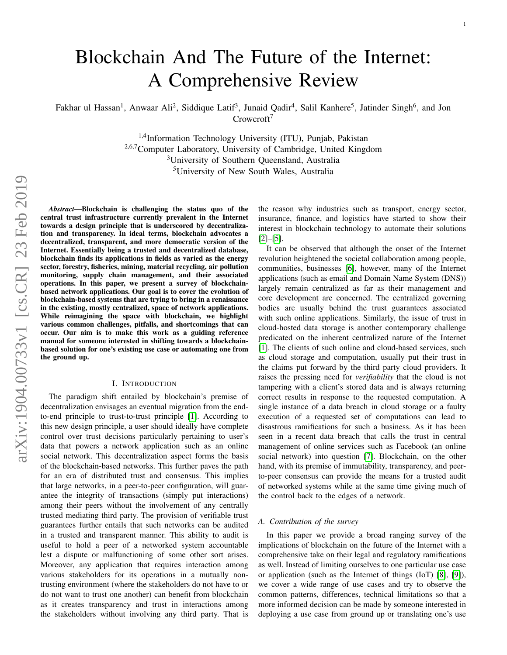# Blockchain And The Future of the Internet: A Comprehensive Review

Fakhar ul Hassan<sup>1</sup>, Anwaar Ali<sup>2</sup>, Siddique Latif<sup>3</sup>, Junaid Qadir<sup>4</sup>, Salil Kanhere<sup>5</sup>, Jatinder Singh<sup>6</sup>, and Jon Crowcroft<sup>7</sup>

> <sup>1,4</sup>Information Technology University (ITU), Punjab, Pakistan 2,6,7Computer Laboratory, University of Cambridge, United Kingdom <sup>3</sup>University of Southern Queensland, Australia <sup>5</sup>University of New South Wales, Australia

*Abstract*—Blockchain is challenging the status quo of the central trust infrastructure currently prevalent in the Internet towards a design principle that is underscored by decentralization and transparency. In ideal terms, blockchain advocates a decentralized, transparent, and more democratic version of the Internet. Essentially being a trusted and decentralized database, blockchain finds its applications in fields as varied as the energy sector, forestry, fisheries, mining, material recycling, air pollution monitoring, supply chain management, and their associated operations. In this paper, we present a survey of blockchainbased network applications. Our goal is to cover the evolution of blockchain-based systems that are trying to bring in a renaissance in the existing, mostly centralized, space of network applications. While reimagining the space with blockchain, we highlight various common challenges, pitfalls, and shortcomings that can occur. Our aim is to make this work as a guiding reference manual for someone interested in shifting towards a blockchainbased solution for one's existing use case or automating one from the ground up.

#### I. INTRODUCTION

The paradigm shift entailed by blockchain's premise of decentralization envisages an eventual migration from the endto-end principle to trust-to-trust principle [\[1\]](#page-16-0). According to this new design principle, a user should ideally have complete control over trust decisions particularly pertaining to user's data that powers a network application such as an online social network. This decentralization aspect forms the basis of the blockchain-based networks. This further paves the path for an era of distributed trust and consensus. This implies that large networks, in a peer-to-peer configuration, will guarantee the integrity of transactions (simply put interactions) among their peers without the involvement of any centrally trusted mediating third party. The provision of verifiable trust guarantees further entails that such networks can be audited in a trusted and transparent manner. This ability to audit is useful to hold a peer of a networked system accountable lest a dispute or malfunctioning of some other sort arises. Moreover, any application that requires interaction among various stakeholders for its operations in a mutually nontrusting environment (where the stakeholders do not have to or do not want to trust one another) can benefit from blockchain as it creates transparency and trust in interactions among the stakeholders without involving any third party. That is

the reason why industries such as transport, energy sector, insurance, finance, and logistics have started to show their interest in blockchain technology to automate their solutions  $[2]$ – $[5]$ .

It can be observed that although the onset of the Internet revolution heightened the societal collaboration among people, communities, businesses [\[6\]](#page-16-3), however, many of the Internet applications (such as email and Domain Name System (DNS)) largely remain centralized as far as their management and core development are concerned. The centralized governing bodies are usually behind the trust guarantees associated with such online applications. Similarly, the issue of trust in cloud-hosted data storage is another contemporary challenge predicated on the inherent centralized nature of the Internet [\[1\]](#page-16-0). The clients of such online and cloud-based services, such as cloud storage and computation, usually put their trust in the claims put forward by the third party cloud providers. It raises the pressing need for *verifiability* that the cloud is not tampering with a client's stored data and is always returning correct results in response to the requested computation. A single instance of a data breach in cloud storage or a faulty execution of a requested set of computations can lead to disastrous ramifications for such a business. As it has been seen in a recent data breach that calls the trust in central management of online services such as Facebook (an online social network) into question [\[7\]](#page-16-4). Blockchain, on the other hand, with its premise of immutability, transparency, and peerto-peer consensus can provide the means for a trusted audit of networked systems while at the same time giving much of the control back to the edges of a network.

#### *A. Contribution of the survey*

In this paper we provide a broad ranging survey of the implications of blockchain on the future of the Internet with a comprehensive take on their legal and regulatory ramifications as well. Instead of limiting ourselves to one particular use case or application (such as the Internet of things (IoT) [\[8\]](#page-16-5), [\[9\]](#page-16-6)), we cover a wide range of use cases and try to observe the common patterns, differences, technical limitations so that a more informed decision can be made by someone interested in deploying a use case from ground up or translating one's use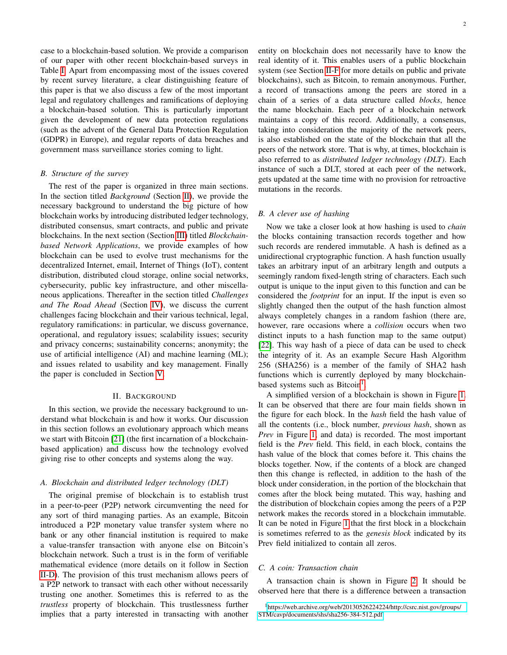case to a blockchain-based solution. We provide a comparison of our paper with other recent blockchain-based surveys in Table [I.](#page-2-0) Apart from encompassing most of the issues covered by recent survey literature, a clear distinguishing feature of this paper is that we also discuss a few of the most important legal and regulatory challenges and ramifications of deploying a blockchain-based solution. This is particularly important given the development of new data protection regulations (such as the advent of the General Data Protection Regulation (GDPR) in Europe), and regular reports of data breaches and government mass surveillance stories coming to light.

# *B. Structure of the survey*

The rest of the paper is organized in three main sections. In the section titled *Background* (Section [II\)](#page-1-0), we provide the necessary background to understand the big picture of how blockchain works by introducing distributed ledger technology, distributed consensus, smart contracts, and public and private blockchains. In the next section (Section [III\)](#page-4-0) titled *Blockchainbased Network Applications*, we provide examples of how blockchain can be used to evolve trust mechanisms for the decentralized Internet, email, Internet of Things (IoT), content distribution, distributed cloud storage, online social networks, cybersecurity, public key infrastructure, and other miscellaneous applications. Thereafter in the section titled *Challenges and The Road Ahead* (Section [IV\)](#page-11-0), we discuss the current challenges facing blockchain and their various technical, legal, regulatory ramifications: in particular, we discuss governance, operational, and regulatory issues; scalability issues; security and privacy concerns; sustainability concerns; anonymity; the use of artificial intelligence (AI) and machine learning (ML); and issues related to usability and key management. Finally the paper is concluded in Section [V.](#page-16-7)

# II. BACKGROUND

<span id="page-1-0"></span>In this section, we provide the necessary background to understand what blockchain is and how it works. Our discussion in this section follows an evolutionary approach which means we start with Bitcoin [\[21\]](#page-16-8) (the first incarnation of a blockchainbased application) and discuss how the technology evolved giving rise to other concepts and systems along the way.

# *A. Blockchain and distributed ledger technology (DLT)*

The original premise of blockchain is to establish trust in a peer-to-peer (P2P) network circumventing the need for any sort of third managing parties. As an example, Bitcoin introduced a P2P monetary value transfer system where no bank or any other financial institution is required to make a value-transfer transaction with anyone else on Bitcoin's blockchain network. Such a trust is in the form of verifiable mathematical evidence (more details on it follow in Section [II-D\)](#page-2-1). The provision of this trust mechanism allows peers of a P2P network to transact with each other without necessarily trusting one another. Sometimes this is referred to as the *trustless* property of blockchain. This trustlessness further implies that a party interested in transacting with another entity on blockchain does not necessarily have to know the real identity of it. This enables users of a public blockchain system (see Section [II-F](#page-4-1) for more details on public and private blockchains), such as Bitcoin, to remain anonymous. Further, a record of transactions among the peers are stored in a chain of a series of a data structure called *blocks*, hence the name blockchain. Each peer of a blockchain network maintains a copy of this record. Additionally, a consensus, taking into consideration the majority of the network peers, is also established on the state of the blockchain that all the peers of the network store. That is why, at times, blockchain is also referred to as *distributed ledger technology (DLT)*. Each instance of such a DLT, stored at each peer of the network, gets updated at the same time with no provision for retroactive mutations in the records.

# *B. A clever use of hashing*

Now we take a closer look at how hashing is used to *chain* the blocks containing transaction records together and how such records are rendered immutable. A hash is defined as a unidirectional cryptographic function. A hash function usually takes an arbitrary input of an arbitrary length and outputs a seemingly random fixed-length string of characters. Each such output is unique to the input given to this function and can be considered the *footprint* for an input. If the input is even so slightly changed then the output of the hash function almost always completely changes in a random fashion (there are, however, rare occasions where a *collision* occurs when two distinct inputs to a hash function map to the same output) [\[22\]](#page-16-9). This way hash of a piece of data can be used to check the integrity of it. As an example Secure Hash Algorithm 256 (SHA256) is a member of the family of SHA2 hash functions which is currently deployed by many blockchain-based systems such as Bitcoin<sup>[1](#page-1-1)</sup>.

A simplified version of a blockchain is shown in Figure [1.](#page-2-2) It can be observed that there are four main fields shown in the figure for each block. In the *hash* field the hash value of all the contents (i.e., block number, *previous hash*, shown as *Prev* in Figure [1,](#page-2-2) and data) is recorded. The most important field is the *Prev* field. This field, in each block, contains the hash value of the block that comes before it. This chains the blocks together. Now, if the contents of a block are changed then this change is reflected, in addition to the hash of the block under consideration, in the portion of the blockchain that comes after the block being mutated. This way, hashing and the distribution of blockchain copies among the peers of a P2P network makes the records stored in a blockchain immutable. It can be noted in Figure [1](#page-2-2) that the first block in a blockchain is sometimes referred to as the *genesis block* indicated by its Prev field initialized to contain all zeros.

## *C. A coin: Transaction chain*

A transaction chain is shown in Figure [2.](#page-3-0) It should be observed here that there is a difference between a transaction

<span id="page-1-1"></span><sup>&</sup>lt;sup>1</sup>[https://web.archive.org/web/20130526224224/http://csrc.nist.gov/groups/](https://web.archive.org/web/20130526224224/http://csrc.nist.gov/groups/STM/cavp/documents/shs/sha256-384-512.pdf) [STM/cavp/documents/shs/sha256-384-512.pdf](https://web.archive.org/web/20130526224224/http://csrc.nist.gov/groups/STM/cavp/documents/shs/sha256-384-512.pdf)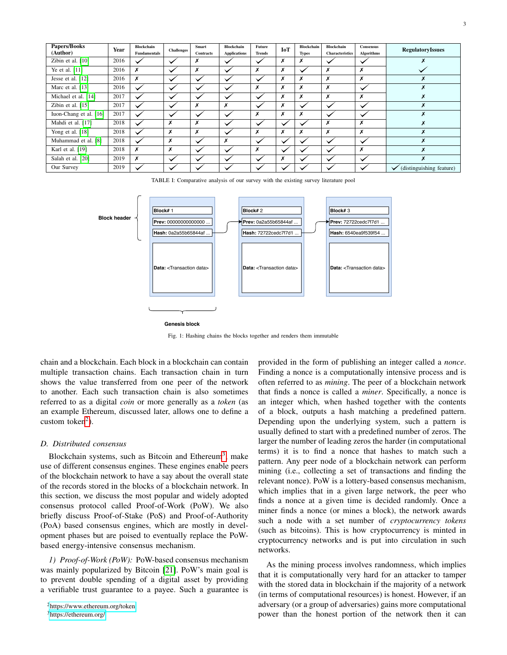<span id="page-2-0"></span>

| Papers/Books<br>(Author) | Year | Blockchain<br><b>Fundamentals</b> | <b>Challenges</b> | Smart<br><b>Contracts</b> | Blockchain<br><b>Applications</b> | Future<br>Trends | <b>IoT</b> | Blockchain<br><b>Types</b> | Blockchain<br>Characteristics | Consensus<br><b>Algorithms</b> | <b>RegulatoryIssues</b>  |
|--------------------------|------|-----------------------------------|-------------------|---------------------------|-----------------------------------|------------------|------------|----------------------------|-------------------------------|--------------------------------|--------------------------|
| Zibin et al. [10]        | 2016 |                                   | $\ddot{}$         | Х                         |                                   | $\checkmark$     | Х          | х                          |                               |                                |                          |
| Ye et al. [11]           | 2016 | Х                                 | $\checkmark$      | x                         |                                   | Х                | х          | $\checkmark$               | Х                             | x                              |                          |
| Jesse et al. [12]        | 2016 | X                                 | $\checkmark$      |                           |                                   | $\checkmark$     | Х          | х                          | Х                             | x                              |                          |
| Marc et al. [13]         | 2016 | $\checkmark$                      |                   |                           |                                   | x                | х          | Х                          | X                             |                                | Х                        |
| Michael et al. [14]      | 2017 | $\checkmark$                      |                   |                           |                                   | $\checkmark$     | Х          | x                          | X                             | Х                              | Х                        |
| Zibin et al. [15]        | 2017 |                                   |                   | x                         | x                                 | $\checkmark$     | Х          | $\checkmark$               |                               |                                | X                        |
| Iuon-Chang et al. [16]   | 2017 | $\overline{\phantom{a}}$          |                   |                           |                                   | Х                | Х          | x                          |                               |                                | Х                        |
| Mahdi et al. [17]        | 2018 |                                   | Х                 | Х                         |                                   | $\checkmark$     |            | $\checkmark$               | X                             | X                              | X                        |
| Yong et al. [18]         | 2018 |                                   | X                 | Х                         |                                   | X                | х          | Х                          | X                             | X                              | X                        |
| Muhammad et al. [8]      | 2018 | $\checkmark$                      | X                 | $\checkmark$              | x                                 | $\checkmark$     |            | $\checkmark$               |                               |                                | X                        |
| Karl et al. [19]         | 2018 | X                                 | Х                 |                           |                                   | X                |            |                            |                               | x                              | x                        |
| Salah et al. [20]        | 2019 | x                                 | $\checkmark$      |                           |                                   | $\checkmark$     | Х          | $\checkmark$               |                               |                                | X                        |
| Our Survey               | 2019 |                                   |                   |                           |                                   | $\checkmark$     |            |                            |                               |                                | (distinguishing feature) |

TABLE I: Comparative analysis of our survey with the existing survey literature pool

<span id="page-2-2"></span>

Fig. 1: Hashing chains the blocks together and renders them immutable

chain and a blockchain. Each block in a blockchain can contain multiple transaction chains. Each transaction chain in turn shows the value transferred from one peer of the network to another. Each such transaction chain is also sometimes referred to as a digital *coin* or more generally as a *token* (as an example Ethereum, discussed later, allows one to define a custom token<sup>[2](#page-2-3)</sup>).

#### <span id="page-2-1"></span>*D. Distributed consensus*

Blockchain systems, such as Bitcoin and Ethereum<sup>[3](#page-2-4)</sup>, make use of different consensus engines. These engines enable peers of the blockchain network to have a say about the overall state of the records stored in the blocks of a blockchain network. In this section, we discuss the most popular and widely adopted consensus protocol called Proof-of-Work (PoW). We also briefly discuss Proof-of-Stake (PoS) and Proof-of-Authority (PoA) based consensus engines, which are mostly in development phases but are poised to eventually replace the PoWbased energy-intensive consensus mechanism.

<span id="page-2-5"></span>*1) Proof-of-Work (PoW):* PoW-based consensus mechanism was mainly popularized by Bitcoin [\[21\]](#page-16-8). PoW's main goal is to prevent double spending of a digital asset by providing a verifiable trust guarantee to a payee. Such a guarantee is provided in the form of publishing an integer called a *nonce*. Finding a nonce is a computationally intensive process and is often referred to as *mining*. The peer of a blockchain network that finds a nonce is called a *miner*. Specifically, a nonce is an integer which, when hashed together with the contents of a block, outputs a hash matching a predefined pattern. Depending upon the underlying system, such a pattern is usually defined to start with a predefined number of zeros. The larger the number of leading zeros the harder (in computational terms) it is to find a nonce that hashes to match such a pattern. Any peer node of a blockchain network can perform mining (i.e., collecting a set of transactions and finding the relevant nonce). PoW is a lottery-based consensus mechanism, which implies that in a given large network, the peer who finds a nonce at a given time is decided randomly. Once a miner finds a nonce (or mines a block), the network awards such a node with a set number of *cryptocurrency tokens* (such as bitcoins). This is how cryptocurrency is minted in cryptocurrency networks and is put into circulation in such networks.

As the mining process involves randomness, which implies that it is computationally very hard for an attacker to tamper with the stored data in blockchain if the majority of a network (in terms of computational resources) is honest. However, if an adversary (or a group of adversaries) gains more computational power than the honest portion of the network then it can

<span id="page-2-3"></span><sup>2</sup><https://www.ethereum.org/token>

<span id="page-2-4"></span><sup>3</sup><https://ethereum.org/>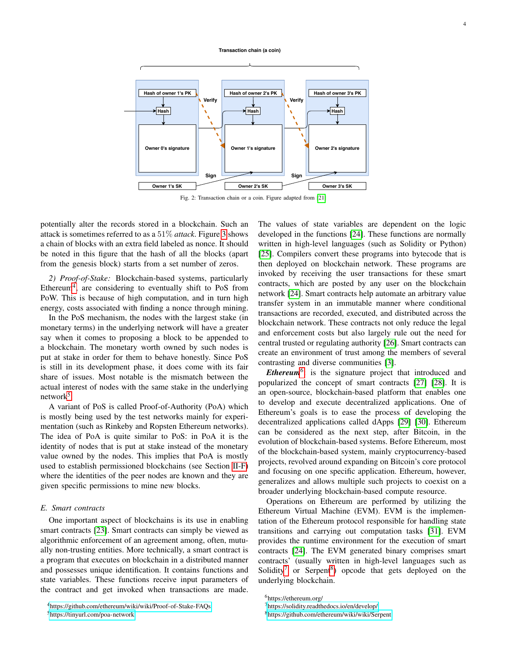#### **Transaction chain (a coin)**

<span id="page-3-0"></span>

Fig. 2: Transaction chain or a coin. Figure adapted from [\[21\]](#page-16-8)

potentially alter the records stored in a blockchain. Such an attack is sometimes referred to as a 51% *attack*. Figure [3](#page-4-2) shows a chain of blocks with an extra field labeled as nonce. It should be noted in this figure that the hash of all the blocks (apart from the genesis block) starts from a set number of zeros.

<span id="page-3-6"></span>*2) Proof-of-Stake:* Blockchain-based systems, particularly Ethereum<sup>[4](#page-3-1)</sup>, are considering to eventually shift to PoS from PoW. This is because of high computation, and in turn high energy, costs associated with finding a nonce through mining.

In the PoS mechanism, the nodes with the largest stake (in monetary terms) in the underlying network will have a greater say when it comes to proposing a block to be appended to a blockchain. The monetary worth owned by such nodes is put at stake in order for them to behave honestly. Since PoS is still in its development phase, it does come with its fair share of issues. Most notable is the mismatch between the actual interest of nodes with the same stake in the underlying network<sup>[5](#page-3-2)</sup>.

A variant of PoS is called Proof-of-Authority (PoA) which is mostly being used by the test networks mainly for experimentation (such as Rinkeby and Ropsten Ethereum networks). The idea of PoA is quite similar to PoS: in PoA it is the identity of nodes that is put at stake instead of the monetary value owned by the nodes. This implies that PoA is mostly used to establish permissioned blockchains (see Section [II-F\)](#page-4-1) where the identities of the peer nodes are known and they are given specific permissions to mine new blocks.

#### *E. Smart contracts*

One important aspect of blockchains is its use in enabling smart contracts [\[23\]](#page-16-21). Smart contracts can simply be viewed as algorithmic enforcement of an agreement among, often, mutually non-trusting entities. More technically, a smart contract is a program that executes on blockchain in a distributed manner and possesses unique identification. It contains functions and state variables. These functions receive input parameters of the contract and get invoked when transactions are made.

<span id="page-3-2"></span><sup>5</sup><https://tinyurl.com/poa-network>

The values of state variables are dependent on the logic developed in the functions [\[24\]](#page-16-22). These functions are normally written in high-level languages (such as Solidity or Python) [\[25\]](#page-16-23). Compilers convert these programs into bytecode that is then deployed on blockchain network. These programs are invoked by receiving the user transactions for these smart contracts, which are posted by any user on the blockchain network [\[24\]](#page-16-22). Smart contracts help automate an arbitrary value transfer system in an immutable manner where conditional transactions are recorded, executed, and distributed across the blockchain network. These contracts not only reduce the legal and enforcement costs but also largely rule out the need for central trusted or regulating authority [\[26\]](#page-16-24). Smart contracts can create an environment of trust among the members of several contrasting and diverse communities [\[3\]](#page-16-25).

*Ethereum*<sup>[6](#page-3-3)</sup>: is the signature project that introduced and popularized the concept of smart contracts [\[27\]](#page-16-26) [\[28\]](#page-16-27). It is an open-source, blockchain-based platform that enables one to develop and execute decentralized applications. One of Ethereum's goals is to ease the process of developing the decentralized applications called dApps [\[29\]](#page-16-28) [\[30\]](#page-17-0). Ethereum can be considered as the next step, after Bitcoin, in the evolution of blockchain-based systems. Before Ethereum, most of the blockchain-based system, mainly cryptocurrency-based projects, revolved around expanding on Bitcoin's core protocol and focusing on one specific application. Ethereum, however, generalizes and allows multiple such projects to coexist on a broader underlying blockchain-based compute resource.

Operations on Ethereum are performed by utilizing the Ethereum Virtual Machine (EVM). EVM is the implementation of the Ethereum protocol responsible for handling state transitions and carrying out computation tasks [\[31\]](#page-17-1). EVM provides the runtime environment for the execution of smart contracts [\[24\]](#page-16-22). The EVM generated binary comprises smart contracts' (usually written in high-level languages such as Solidity<sup>[7](#page-3-4)</sup> or Serpent<sup>[8](#page-3-5)</sup>) opcode that gets deployed on the underlying blockchain.

<span id="page-3-1"></span><sup>4</sup><https://github.com/ethereum/wiki/wiki/Proof-of-Stake-FAQs>

<span id="page-3-4"></span><span id="page-3-3"></span><sup>6</sup>https://ethereum.org/

<sup>7</sup><https://solidity.readthedocs.io/en/develop/>

<span id="page-3-5"></span><sup>8</sup><https://github.com/ethereum/wiki/wiki/Serpent>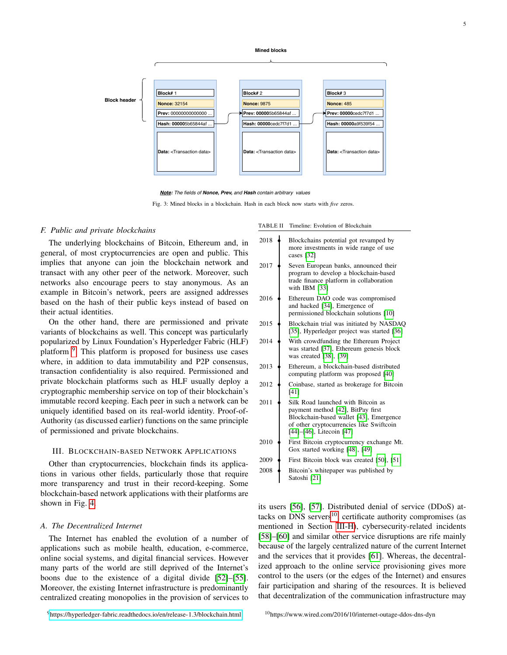**Mined blocks**

<span id="page-4-2"></span>



Fig. 3: Mined blocks in a blockchain. Hash in each block now starts with *five* zeros.

## <span id="page-4-1"></span>*F. Public and private blockchains*

The underlying blockchains of Bitcoin, Ethereum and, in general, of most cryptocurrencies are open and public. This implies that anyone can join the blockchain network and transact with any other peer of the network. Moreover, such networks also encourage peers to stay anonymous. As an example in Bitcoin's network, peers are assigned addresses based on the hash of their public keys instead of based on their actual identities.

On the other hand, there are permissioned and private variants of blockchains as well. This concept was particularly popularized by Linux Foundation's Hyperledger Fabric (HLF) platform <sup>[9](#page-4-3)</sup>. This platform is proposed for business use cases where, in addition to data immutability and P2P consensus, transaction confidentiality is also required. Permissioned and private blockchain platforms such as HLF usually deploy a cryptographic membership service on top of their blockchain's immutable record keeping. Each peer in such a network can be uniquely identified based on its real-world identity. Proof-of-Authority (as discussed earlier) functions on the same principle of permissioned and private blockchains.

#### <span id="page-4-0"></span>III. BLOCKCHAIN-BASED NETWORK APPLICATIONS

Other than cryptocurrencies, blockchain finds its applications in various other fields, particularly those that require more transparency and trust in their record-keeping. Some blockchain-based network applications with their platforms are shown in Fig. [4.](#page-5-0)

#### *A. The Decentralized Internet*

The Internet has enabled the evolution of a number of applications such as mobile health, education, e-commerce, online social systems, and digital financial services. However many parts of the world are still deprived of the Internet's boons due to the existence of a digital divide [\[52\]](#page-17-2)–[\[55\]](#page-17-3). Moreover, the existing Internet infrastructure is predominantly centralized creating monopolies in the provision of services to

<span id="page-4-3"></span><sup>9</sup><https://hyperledger-fabric.readthedocs.io/en/release-1.3/blockchain.html>

TABLE II Timeline: Evolution of Blockchain

| 2018 | Blockchains potential got revamped by<br>more investments in wide range of use<br>cases [32]                                                                                               |
|------|--------------------------------------------------------------------------------------------------------------------------------------------------------------------------------------------|
| 2017 | Seven European banks, announced their<br>program to develop a blockchain-based<br>trade finance platform in collaboration<br>with IBM [33]                                                 |
| 2016 | Ethereum DAO code was compromised<br>and hacked [34], Emergence of<br>permissioned blockchain solutions [10]                                                                               |
| 2015 | Blockchain trial was initiated by NASDAQ<br>[35], Hyperledger project was started [36]                                                                                                     |
| 2014 | With crowdfunding the Ethereum Project<br>was started [37], Ethereum genesis block<br>was created [38], [39]                                                                               |
| 2013 | Ethereum, a blockchain-based distributed<br>computing platform was proposed [40]                                                                                                           |
| 2012 | Coinbase, started as brokerage for Bitcoin<br>[41]                                                                                                                                         |
| 2011 | Silk Road launched with Bitcoin as<br>payment method [42], BitPay first<br>Blockchain-based wallet [43], Emergence<br>of other cryptocurrencies like Swiftcoin<br>[44]-[46], Litecoin [47] |
| 2010 | First Bitcoin cryptocurrency exchange Mt.<br>Gox started working [48], [49]                                                                                                                |
| 2009 | First Bitcoin block was created [50], [51]                                                                                                                                                 |
| 2008 | Bitcoin's whitepaper was published by<br>Satoshi [21]                                                                                                                                      |

<span id="page-4-4"></span>its users [\[56\]](#page-17-23), [\[57\]](#page-17-24). Distributed denial of service (DDoS) attacks on DNS servers $^{10}$  $^{10}$  $^{10}$ , certificate authority compromises (as mentioned in Section [III-H\)](#page-10-0), cybersecurity-related incidents [\[58\]](#page-17-25)–[\[60\]](#page-17-26) and similar other service disruptions are rife mainly because of the largely centralized nature of the current Internet and the services that it provides [\[61\]](#page-17-27). Whereas, the decentralized approach to the online service provisioning gives more control to the users (or the edges of the Internet) and ensures fair participation and sharing of the resources. It is believed that decentralization of the communication infrastructure may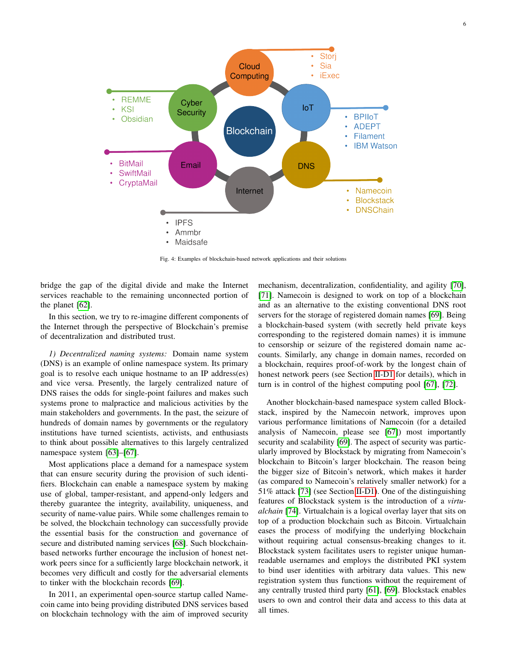<span id="page-5-0"></span>

Fig. 4: Examples of blockchain-based network applications and their solutions

bridge the gap of the digital divide and make the Internet services reachable to the remaining unconnected portion of the planet [\[62\]](#page-17-28).

In this section, we try to re-imagine different components of the Internet through the perspective of Blockchain's premise of decentralization and distributed trust.

*1) Decentralized naming systems:* Domain name system (DNS) is an example of online namespace system. Its primary goal is to resolve each unique hostname to an IP address(es) and vice versa. Presently, the largely centralized nature of DNS raises the odds for single-point failures and makes such systems prone to malpractice and malicious activities by the main stakeholders and governments. In the past, the seizure of hundreds of domain names by governments or the regulatory institutions have turned scientists, activists, and enthusiasts to think about possible alternatives to this largely centralized namespace system [\[63\]](#page-17-29)–[\[67\]](#page-17-30).

Most applications place a demand for a namespace system that can ensure security during the provision of such identifiers. Blockchain can enable a namespace system by making use of global, tamper-resistant, and append-only ledgers and thereby guarantee the integrity, availability, uniqueness, and security of name-value pairs. While some challenges remain to be solved, the blockchain technology can successfully provide the essential basis for the construction and governance of secure and distributed naming services [\[68\]](#page-17-31). Such blockchainbased networks further encourage the inclusion of honest network peers since for a sufficiently large blockchain network, it becomes very difficult and costly for the adversarial elements to tinker with the blockchain records [\[69\]](#page-17-32).

In 2011, an experimental open-source startup called Namecoin came into being providing distributed DNS services based on blockchain technology with the aim of improved security

mechanism, decentralization, confidentiality, and agility [\[70\]](#page-17-33), [\[71\]](#page-17-34). Namecoin is designed to work on top of a blockchain and as an alternative to the existing conventional DNS root servers for the storage of registered domain names [\[69\]](#page-17-32). Being a blockchain-based system (with secretly held private keys corresponding to the registered domain names) it is immune to censorship or seizure of the registered domain name accounts. Similarly, any change in domain names, recorded on a blockchain, requires proof-of-work by the longest chain of honest network peers (see Section [II-D1](#page-2-5) for details), which in turn is in control of the highest computing pool [\[67\]](#page-17-30), [\[72\]](#page-17-35).

Another blockchain-based namespace system called Blockstack, inspired by the Namecoin network, improves upon various performance limitations of Namecoin (for a detailed analysis of Namecoin, please see [\[67\]](#page-17-30)) most importantly security and scalability [\[69\]](#page-17-32). The aspect of security was particularly improved by Blockstack by migrating from Namecoin's blockchain to Bitcoin's larger blockchain. The reason being the bigger size of Bitcoin's network, which makes it harder (as compared to Namecoin's relatively smaller network) for a 51% attack [\[73\]](#page-17-36) (see Section [II-D1\)](#page-2-5). One of the distinguishing features of Blockstack system is the introduction of a *virtualchain* [\[74\]](#page-17-37). Virtualchain is a logical overlay layer that sits on top of a production blockchain such as Bitcoin. Virtualchain eases the process of modifying the underlying blockchain without requiring actual consensus-breaking changes to it. Blockstack system facilitates users to register unique humanreadable usernames and employs the distributed PKI system to bind user identities with arbitrary data values. This new registration system thus functions without the requirement of any centrally trusted third party [\[61\]](#page-17-27), [\[69\]](#page-17-32). Blockstack enables users to own and control their data and access to this data at all times.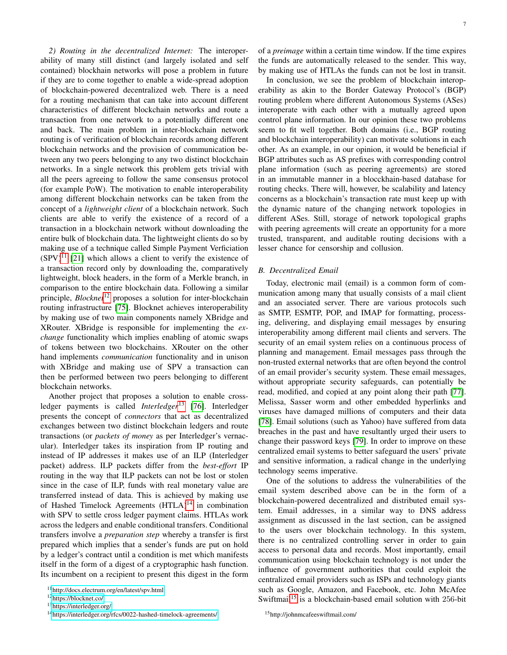*2) Routing in the decentralized Internet:* The interoperability of many still distinct (and largely isolated and self contained) blockhain networks will pose a problem in future if they are to come together to enable a wide-spread adoption of blockchain-powered decentralized web. There is a need for a routing mechanism that can take into account different characteristics of different blockchain networks and route a transaction from one network to a potentially different one and back. The main problem in inter-blockchain network routing is of verification of blockchain records among different blockchain networks and the provision of communication between any two peers belonging to any two distinct blockchain networks. In a single network this problem gets trivial with all the peers agreeing to follow the same consensus protocol (for example PoW). The motivation to enable interoperability among different blockchain networks can be taken from the concept of a *lightweight client* of a blockchain network. Such clients are able to verify the existence of a record of a transaction in a blockchain network without downloading the entire bulk of blockchain data. The lightweight clients do so by making use of a technique called Simple Payment Verficiation  $(SPV)^{11}$  $(SPV)^{11}$  $(SPV)^{11}$  [\[21\]](#page-16-8) which allows a client to verify the existence of a transaction record only by downloading the, comparatively lightweight, block headers, in the form of a Merkle branch, in comparison to the entire blockchain data. Following a similar principle, *Blocknet*<sup>[12](#page-6-1)</sup> proposes a solution for inter-blockchain routing infrastructure [\[75\]](#page-17-38). Blocknet achieves interoperability by making use of two main components namely XBridge and XRouter. XBridge is responsible for implementing the *exchange* functionality which implies enabling of atomic swaps of tokens between two blockchains. XRouter on the other hand implements *communication* functionality and in unison with XBridge and making use of SPV a transaction can then be performed between two peers belonging to different blockchain networks.

Another project that proposes a solution to enable crossledger payments is called *Interledger*<sup>[13](#page-6-2)</sup> [\[76\]](#page-17-39). Interledger presents the concept of *connectors* that act as decentralized exchanges between two distinct blockchain ledgers and route transactions (or *packets of money* as per Interledger's vernacular). Interledger takes its inspiration from IP routing and instead of IP addresses it makes use of an ILP (Interledger packet) address. ILP packets differ from the *best-effort* IP routing in the way that ILP packets can not be lost or stolen since in the case of ILP, funds with real monetary value are transferred instead of data. This is achieved by making use of Hashed Timelock Agreements (HTLA)<sup>[14](#page-6-3)</sup> in combination with SPV to settle cross ledger payment claims. HTLAs work across the ledgers and enable conditional transfers. Conditional transfers involve a *preparation step* whereby a transfer is first prepared which implies that a sender's funds are put on hold by a ledger's contract until a condition is met which manifests itself in the form of a digest of a cryptographic hash function. Its incumbent on a recipient to present this digest in the form of a *preimage* within a certain time window. If the time expires the funds are automatically released to the sender. This way, by making use of HTLAs the funds can not be lost in transit.

In conclusion, we see the problem of blockchain interoperability as akin to the Border Gateway Protocol's (BGP) routing problem where different Autonomous Systems (ASes) interoperate with each other with a mutually agreed upon control plane information. In our opinion these two problems seem to fit well together. Both domains (i.e., BGP routing and blockchain interoperability) can motivate solutions in each other. As an example, in our opinion, it would be beneficial if BGP attributes such as AS prefixes with corresponding control plane information (such as peering agreements) are stored in an immutable manner in a blocckhain-based database for routing checks. There will, however, be scalability and latency concerns as a blockchain's transaction rate must keep up with the dynamic nature of the changing network topologies in different ASes. Still, storage of network topological graphs with peering agreements will create an opportunity for a more trusted, transparent, and auditable routing decisions with a lesser chance for censorship and collusion.

#### *B. Decentralized Email*

Today, electronic mail (email) is a common form of communication among many that usually consists of a mail client and an associated server. There are various protocols such as SMTP, ESMTP, POP, and IMAP for formatting, processing, delivering, and displaying email messages by ensuring interoperability among different mail clients and servers. The security of an email system relies on a continuous process of planning and management. Email messages pass through the non-trusted external networks that are often beyond the control of an email provider's security system. These email messages, without appropriate security safeguards, can potentially be read, modified, and copied at any point along their path [\[77\]](#page-17-40). Melissa, Sasser worm and other embedded hyperlinks and viruses have damaged millions of computers and their data [\[78\]](#page-17-41). Email solutions (such as Yahoo) have suffered from data breaches in the past and have resultantly urged their users to change their password keys [\[79\]](#page-17-42). In order to improve on these centralized email systems to better safeguard the users' private and sensitive information, a radical change in the underlying technology seems imperative.

One of the solutions to address the vulnerabilities of the email system described above can be in the form of a blockchain-powered decentralized and distributed email system. Email addresses, in a similar way to DNS address assignment as discussed in the last section, can be assigned to the users over blockchain technology. In this system, there is no centralized controlling server in order to gain access to personal data and records. Most importantly, email communication using blockchain technology is not under the influence of government authorities that could exploit the centralized email providers such as ISPs and technology giants such as Google, Amazon, and Facebook, etc. John McAfee Swiftmail<sup>[15](#page-6-4)</sup> is a blockchain-based email solution with 256-bit

<span id="page-6-4"></span><sup>15</sup>http://johnmcafeeswiftmail.com/

<span id="page-6-0"></span><sup>11</sup><http://docs.electrum.org/en/latest/spv.html>

<span id="page-6-1"></span><sup>12</sup><https://blocknet.co/>

<span id="page-6-2"></span><sup>13</sup><https://interledger.org/>

<span id="page-6-3"></span><sup>14</sup><https://interledger.org/rfcs/0022-hashed-timelock-agreements/>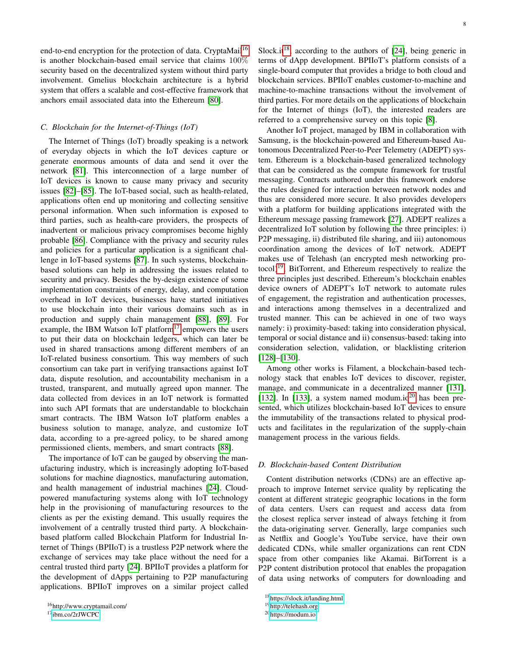end-to-end encryption for the protection of data. CryptaMail<sup>[16](#page-7-0)</sup> is another blockchain-based email service that claims 100% security based on the decentralized system without third party involvement. Gmelius blockchain architecture is a hybrid system that offers a scalable and cost-effective framework that anchors email associated data into the Ethereum [\[80\]](#page-17-43).

# *C. Blockchain for the Internet-of-Things (IoT)*

The Internet of Things (IoT) broadly speaking is a network of everyday objects in which the IoT devices capture or generate enormous amounts of data and send it over the network [\[81\]](#page-17-44). This interconnection of a large number of IoT devices is known to cause many privacy and security issues [\[82\]](#page-17-45)–[\[85\]](#page-18-0). The IoT-based social, such as health-related, applications often end up monitoring and collecting sensitive personal information. When such information is exposed to third parties, such as health-care providers, the prospects of inadvertent or malicious privacy compromises become highly probable [\[86\]](#page-18-1). Compliance with the privacy and security rules and policies for a particular application is a significant challenge in IoT-based systems [\[87\]](#page-18-2). In such systems, blockchainbased solutions can help in addressing the issues related to security and privacy. Besides the by-design existence of some implementation constraints of energy, delay, and computation overhead in IoT devices, businesses have started initiatives to use blockchain into their various domains such as in production and supply chain management [\[88\]](#page-18-3), [\[89\]](#page-18-4). For example, the IBM Watson IoT platform<sup>[17](#page-7-1)</sup> empowers the users to put their data on blockchain ledgers, which can later be used in shared transactions among different members of an IoT-related business consortium. This way members of such consortium can take part in verifying transactions against IoT data, dispute resolution, and accountability mechanism in a trusted, transparent, and mutually agreed upon manner. The data collected from devices in an IoT network is formatted into such API formats that are understandable to blockchain smart contracts. The IBM Watson IoT platform enables a business solution to manage, analyze, and customize IoT data, according to a pre-agreed policy, to be shared among permissioned clients, members, and smart contracts [\[88\]](#page-18-3).

The importance of IoT can be gauged by observing the manufacturing industry, which is increasingly adopting IoT-based solutions for machine diagnostics, manufacturing automation, and health management of industrial machines [\[24\]](#page-16-22). Cloudpowered manufacturing systems along with IoT technology help in the provisioning of manufacturing resources to the clients as per the existing demand. This usually requires the involvement of a centrally trusted third party. A blockchainbased platform called Blockchain Platform for Industrial Internet of Things (BPIIoT) is a trustless P2P network where the exchange of services may take place without the need for a central trusted third party [\[24\]](#page-16-22). BPIIoT provides a platform for the development of dApps pertaining to P2P manufacturing applications. BPIIoT improves on a similar project called Slock.it<sup>[18](#page-7-2)</sup>, according to the authors of [\[24\]](#page-16-22), being generic in terms of dApp development. BPIIoT's platform consists of a single-board computer that provides a bridge to both cloud and blockchain services. BPIIoT enables customer-to-machine and machine-to-machine transactions without the involvement of third parties. For more details on the applications of blockchain for the Internet of things (IoT), the interested readers are referred to a comprehensive survey on this topic [\[8\]](#page-16-5).

Another IoT project, managed by IBM in collaboration with Samsung, is the blockchain-powered and Ethereum-based Autonomous Decentralized Peer-to-Peer Telemetry (ADEPT) system. Ethereum is a blockchain-based generalized technology that can be considered as the compute framework for trustful messaging. Contracts authored under this framework endorse the rules designed for interaction between network nodes and thus are considered more secure. It also provides developers with a platform for building applications integrated with the Ethereum message passing framework [\[27\]](#page-16-26). ADEPT realizes a decentralized IoT solution by following the three principles: i) P2P messaging, ii) distributed file sharing, and iii) autonomous coordination among the devices of IoT network. ADEPT makes use of Telehash (an encrypted mesh networking pro $to$ col)<sup>[19](#page-7-3)</sup>, BitTorrent, and Ethereum respectively to realize the three principles just described. Ethereum's blockchain enables device owners of ADEPT's IoT network to automate rules of engagement, the registration and authentication processes, and interactions among themselves in a decentralized and trusted manner. This can be achieved in one of two ways namely: i) proximity-based: taking into consideration physical, temporal or social distance and ii) consensus-based: taking into consideration selection, validation, or blacklisting criterion [\[128\]](#page-18-5)–[\[130\]](#page-18-6).

Among other works is Filament, a blockchain-based technology stack that enables IoT devices to discover, register, manage, and communicate in a decentralized manner [\[131\]](#page-18-7), [\[132\]](#page-18-8). In [\[133\]](#page-18-9), a system named modum.io<sup>[20](#page-7-4)</sup> has been presented, which utilizes blockchain-based IoT devices to ensure the immutability of the transactions related to physical products and facilitates in the regularization of the supply-chain management process in the various fields.

# *D. Blockchain-based Content Distribution*

Content distribution networks (CDNs) are an effective approach to improve Internet service quality by replicating the content at different strategic geographic locations in the form of data centers. Users can request and access data from the closest replica server instead of always fetching it from the data-originating server. Generally, large companies such as Netflix and Google's YouTube service, have their own dedicated CDNs, while smaller organizations can rent CDN space from other companies like Akamai. BitTorrent is a P2P content distribution protocol that enables the propagation of data using networks of computers for downloading and

<span id="page-7-0"></span><sup>16</sup>http://www.cryptamail.com/

<span id="page-7-1"></span><sup>17</sup><ibm.co/2rJWCPC>

<span id="page-7-2"></span><sup>18</sup><https://slock.it/landing.html>

<span id="page-7-3"></span><sup>19</sup><http://telehash.org>

<span id="page-7-4"></span><sup>20</sup><https://modum.io>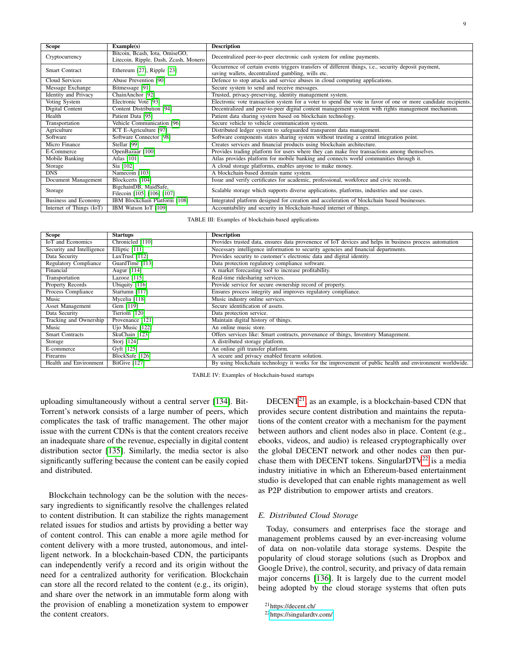| Scope                       | Example(s)                                                              | <b>Description</b>                                                                                                                                         |  |  |  |  |
|-----------------------------|-------------------------------------------------------------------------|------------------------------------------------------------------------------------------------------------------------------------------------------------|--|--|--|--|
| Cryptocurrency              | Bitcoin, Bcash, Iota, OmiseGO,<br>Litecoin, Ripple, Dash, Zcash, Monero | Decentralized peer-to-peer electronic cash system for online payments.                                                                                     |  |  |  |  |
| <b>Smart Contract</b>       | Ethereum [27], Ripple [23]                                              | Occurrence of certain events triggers transfers of different things, i.e., security deposit payment,<br>saving wallets, decentralized gambling, wills etc. |  |  |  |  |
| Cloud Services              | Abuse Prevention [90]                                                   | Defence to stop attacks and service abuses in cloud computing applications.                                                                                |  |  |  |  |
| Message Exchange            | Bitmessage [91]                                                         | Secure system to send and receive messages.                                                                                                                |  |  |  |  |
| <b>Identity</b> and Privacy | ChainAnchor <sup>[92]</sup>                                             | Trusted, privacy-preserving, identity management system.                                                                                                   |  |  |  |  |
| Voting System               | Electronic Vote [93]                                                    | Electronic vote transaction system for a voter to spend the vote in favor of one or more candidate recipients.                                             |  |  |  |  |
| Digital Content             | Content Distribution [94]                                               | Decentralized and peer-to-peer digital content management system with rights management mechanism.                                                         |  |  |  |  |
| Health                      | Patient Data [95]                                                       | Patient data sharing system based on blockchain technology.                                                                                                |  |  |  |  |
| Transportation              | Vehicle Communication [96]                                              | Secure vehicle to vehicle communication system.                                                                                                            |  |  |  |  |
| Agriculture                 | ICT E-Agriculture [97]                                                  | Distributed ledger system to safeguarded transparent data management.                                                                                      |  |  |  |  |
| Software                    | Software Connector [98]                                                 | Software components states sharing system without trusting a central integration point.                                                                    |  |  |  |  |
| Micro Finance               | Stellar [99]                                                            | Creates services and financial products using blockchain architecture.                                                                                     |  |  |  |  |
| E-Commerce                  | OpenBazaar [100]                                                        | Provides trading platform for users where they can make free transactions among themselves.                                                                |  |  |  |  |
| Mobile Banking              | Atlas [101]                                                             | Atlas provides platform for mobile banking and connects world communities through it.                                                                      |  |  |  |  |
| Storage                     | Sia [102]                                                               | A cloud storage platforms, enables anyone to make money.                                                                                                   |  |  |  |  |
| <b>DNS</b>                  | Namecoin [103]                                                          | A blockchain-based domain name system.                                                                                                                     |  |  |  |  |
| Document Management         | Blockcerts [104]                                                        | Issue and verify certificates for academic, professional, workforce and civic records.                                                                     |  |  |  |  |
| Storage                     | BigchainDB, MaidSafe,<br>Filecoin [105] [106] [107]                     | Scalable storage which supports diverse applications, platforms, industries and use cases.                                                                 |  |  |  |  |
| <b>Business and Economy</b> | IBM Blockchain Platform [108]                                           | Integrated platform designed for creation and acceleration of blockchain based businesses.                                                                 |  |  |  |  |
| Internet of Things (IoT)    | IBM Watson IoT [109]                                                    | Accountability and security in blockchain-based internet of things.                                                                                        |  |  |  |  |

TABLE III: Examples of blockchain-based applications

| <b>Scope</b>                  | <b>Startups</b>  | <b>Description</b>                                                                                      |
|-------------------------------|------------------|---------------------------------------------------------------------------------------------------------|
| IoT and Economics             | Chronicled [110] | Provides trusted data, ensures data provenence of IoT devices and helps in business process automation  |
| Security and Intelligence     | Elliptic [111]   | Necessary intelligence information to security agencies and financial departments.                      |
| Data Security                 | LuxTrust [112]   | Provides security to customer's electronic data and digital identity.                                   |
| <b>Regulatory Compliance</b>  | GuardTime [113]  | Data protection regulatory compliance software.                                                         |
| Financial                     | Augur [114]      | A market forecasting tool to increase profitability.                                                    |
| Transportation                | Lazooz [115]     | Real-time ridesharing services.                                                                         |
| <b>Property Records</b>       | Ubiquity [116]   | Provide service for secure ownership record of property.                                                |
| <b>Process Compliance</b>     | Startumn [117]   | Ensures process integrity and improves regulatory compliance.                                           |
| Music                         | Mycelia [118]    | Music industry online services.                                                                         |
| <b>Asset Management</b>       | Gem [119]        | Secure identification of assets.                                                                        |
| Data Security                 | Tieriom [120]    | Data protection service.                                                                                |
| Tracking and Ownership        | Provenance [121] | Maintain digital history of things.                                                                     |
| Music                         | Ujo Music [122]  | An online music store.                                                                                  |
| <b>Smart Contracts</b>        | SkuChain [123]   | Offers services like: Smart contracts, provenance of things, Inventory Management.                      |
| Storage                       | Storj [124]      | A distributed storage platform.                                                                         |
| E-commerce                    | Gyft [125]       | An online gift transfer platform.                                                                       |
| Firearms                      | BlockSafe [126]  | A secure and privacy enabled firearm solution.                                                          |
| <b>Health and Environment</b> | BitGive [127]    | By using blockchain technology it works for the improvement of public health and environment worldwide. |

TABLE IV: Examples of blockchain-based startups

uploading simultaneously without a central server [\[134\]](#page-18-48). Bit-Torrent's network consists of a large number of peers, which complicates the task of traffic management. The other major issue with the current CDNs is that the content creators receive an inadequate share of the revenue, especially in digital content distribution sector [\[135\]](#page-18-49). Similarly, the media sector is also significantly suffering because the content can be easily copied and distributed.

Blockchain technology can be the solution with the necessary ingredients to significantly resolve the challenges related to content distribution. It can stabilize the rights management related issues for studios and artists by providing a better way of content control. This can enable a more agile method for content delivery with a more trusted, autonomous, and intelligent network. In a blockchain-based CDN, the participants can independently verify a record and its origin without the need for a centralized authority for verification. Blockchain can store all the record related to the content (e.g., its origin), and share over the network in an immutable form along with the provision of enabling a monetization system to empower the content creators.

 $DECENT<sup>21</sup>$  $DECENT<sup>21</sup>$  $DECENT<sup>21</sup>$ , as an example, is a blockchain-based CDN that provides secure content distribution and maintains the reputations of the content creator with a mechanism for the payment between authors and client nodes also in place. Content (e.g., ebooks, videos, and audio) is released cryptographically over the global DECENT network and other nodes can then pur-chase them with DECENT tokens. SingularDTV<sup>[22](#page-8-1)</sup> is a media industry initiative in which an Ethereum-based entertainment studio is developed that can enable rights management as well as P2P distribution to empower artists and creators.

## *E. Distributed Cloud Storage*

Today, consumers and enterprises face the storage and management problems caused by an ever-increasing volume of data on non-volatile data storage systems. Despite the popularity of cloud storage solutions (such as Dropbox and Google Drive), the control, security, and privacy of data remain major concerns [\[136\]](#page-18-50). It is largely due to the current model being adopted by the cloud storage systems that often puts

<span id="page-8-0"></span><sup>21</sup>https://decent.ch/

<span id="page-8-1"></span><sup>22</sup><https://singulardtv.com/>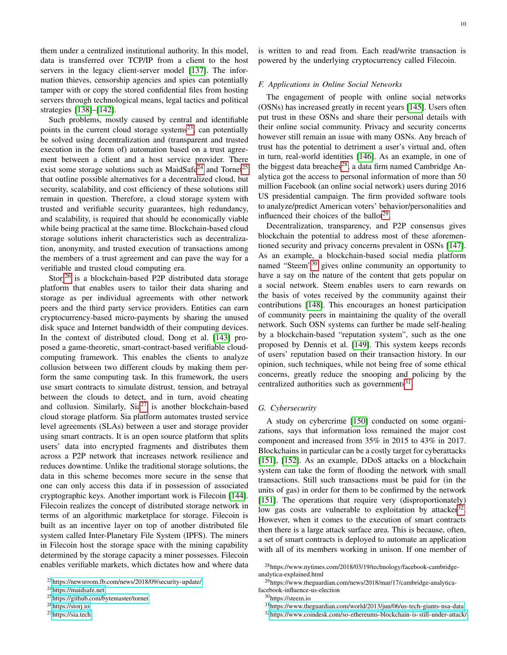them under a centralized institutional authority. In this model, data is transferred over TCP/IP from a client to the host servers in the legacy client-server model [\[137\]](#page-18-51). The information thieves, censorship agencies and spies can potentially tamper with or copy the stored confidential files from hosting servers through technological means, legal tactics and political strategies [\[138\]](#page-18-52)–[\[142\]](#page-18-53).

Such problems, mostly caused by central and identifiable points in the current cloud storage systems<sup>[23](#page-9-0)</sup>, can potentially be solved using decentralization and (transparent and trusted execution in the form of) automation based on a trust agreement between a client and a host service provider. There exist some storage solutions such as MaidSafe<sup>[24](#page-9-1)</sup> and Tornet<sup>[25](#page-9-2)</sup> that outline possible alternatives for a decentralized cloud, but security, scalability, and cost efficiency of these solutions still remain in question. Therefore, a cloud storage system with trusted and verifiable security guarantees, high redundancy, and scalability, is required that should be economically viable while being practical at the same time. Blockchain-based cloud storage solutions inherit characteristics such as decentralization, anonymity, and trusted execution of transactions among the members of a trust agreement and can pave the way for a verifiable and trusted cloud computing era.

Storj<sup>[26](#page-9-3)</sup> is a blockchain-based P2P distributed data storage platform that enables users to tailor their data sharing and storage as per individual agreements with other network peers and the third party service providers. Entities can earn cryptocurrency-based micro-payments by sharing the unused disk space and Internet bandwidth of their computing devices. In the context of distributed cloud, Dong et al. [\[143\]](#page-19-0) proposed a game-theoretic, smart-contract-based verifiable cloudcomputing framework. This enables the clients to analyze collusion between two different clouds by making them perform the same computing task. In this framework, the users use smart contracts to simulate distrust, tension, and betrayal between the clouds to detect, and in turn, avoid cheating and collusion. Similarly,  $Sia^{27}$  $Sia^{27}$  $Sia^{27}$  is another blockchain-based cloud storage platform. Sia platform automates trusted service level agreements (SLAs) between a user and storage provider using smart contracts. It is an open source platform that splits users' data into encrypted fragments and distributes them across a P2P network that increases network resilience and reduces downtime. Unlike the traditional storage solutions, the data in this scheme becomes more secure in the sense that one can only access this data if in possession of associated cryptographic keys. Another important work is Filecoin [\[144\]](#page-19-1). Filecoin realizes the concept of distributed storage network in terms of an algorithmic marketplace for storage. Filecoin is built as an incentive layer on top of another distributed file system called Inter-Planetary File System (IPFS). The miners in Filecoin host the storage space with the mining capability determined by the storage capacity a miner possesses. Filecoin enables verifiable markets, which dictates how and where data is written to and read from. Each read/write transaction is powered by the underlying cryptocurrency called Filecoin.

#### *F. Applications in Online Social Networks*

The engagement of people with online social networks (OSNs) has increased greatly in recent years [\[145\]](#page-19-2). Users often put trust in these OSNs and share their personal details with their online social community. Privacy and security concerns however still remain an issue with many OSNs. Any breach of trust has the potential to detriment a user's virtual and, often in turn, real-world identities [\[146\]](#page-19-3). As an example, in one of the biggest data breaches<sup>[28](#page-9-5)</sup>, a data firm named Cambridge Analytica got the access to personal information of more than 50 million Facebook (an online social network) users during 2016 US presidential campaign. The firm provided software tools to analyze/predict American voters' behavior/personalities and influenced their choices of the ballot<sup>[29](#page-9-6)</sup>.

Decentralization, transparency, and P2P consensus gives blockchain the potential to address most of these aforementioned security and privacy concerns prevalent in OSNs [\[147\]](#page-19-4). As an example, a blockchain-based social media platform named "Steem"<sup>[30](#page-9-7)</sup> gives online community an opportunity to have a say on the nature of the content that gets popular on a social network. Steem enables users to earn rewards on the basis of votes received by the community against their contributions [\[148\]](#page-19-5). This encourages an honest participation of community peers in maintaining the quality of the overall network. Such OSN systems can further be made self-healing by a blockchain-based "reputation system", such as the one proposed by Dennis et al. [\[149\]](#page-19-6). This system keeps records of users' reputation based on their transaction history. In our opinion, such techniques, while not being free of some ethical concerns, greatly reduce the snooping and policing by the centralized authorities such as governments $^{31}$  $^{31}$  $^{31}$ .

#### *G. Cybersecurity*

A study on cybercrime [\[150\]](#page-19-7) conducted on some organizations, says that information loss remained the major cost component and increased from 35% in 2015 to 43% in 2017. Blockchains in particular can be a costly target for cyberattacks [\[151\]](#page-19-8), [\[152\]](#page-19-9). As an example, DDoS attacks on a blockchain system can take the form of flooding the network with small transactions. Still such transactions must be paid for (in the units of gas) in order for them to be confirmed by the network [\[151\]](#page-19-8). The operations that require very (disproportionately) low gas costs are vulnerable to exploitation by attacker<sup>[32](#page-9-9)</sup>. However, when it comes to the execution of smart contracts then there is a large attack surface area. This is because, often, a set of smart contracts is deployed to automate an application with all of its members working in unison. If one member of

<span id="page-9-9"></span><sup>32</sup><https://www.coindesk.com/so-ethereums-blockchain-is-still-under-attack/>

<span id="page-9-0"></span><sup>23</sup><https://newsroom.fb.com/news/2018/09/security-update/>

<span id="page-9-1"></span><sup>24</sup><https://maidsafe.net>

<span id="page-9-2"></span><sup>25</sup><https://github.com/bytemaster/tornet>

<span id="page-9-3"></span><sup>26</sup><https://storj.io>

<span id="page-9-4"></span><sup>27</sup><https://sia.tech>

<span id="page-9-5"></span><sup>28</sup>https://www.nytimes.com/2018/03/19/technology/facebook-cambridgeanalytica-explained.html

<span id="page-9-6"></span><sup>&</sup>lt;sup>29</sup>https://www.theguardian.com/news/2018/mar/17/cambridge-analyticafacebook-influence-us-election

<span id="page-9-7"></span><sup>&</sup>lt;sup>30</sup>https://steem.io

<span id="page-9-8"></span><sup>31</sup><https://www.theguardian.com/world/2013/jun/06/us-tech-giants-nsa-data>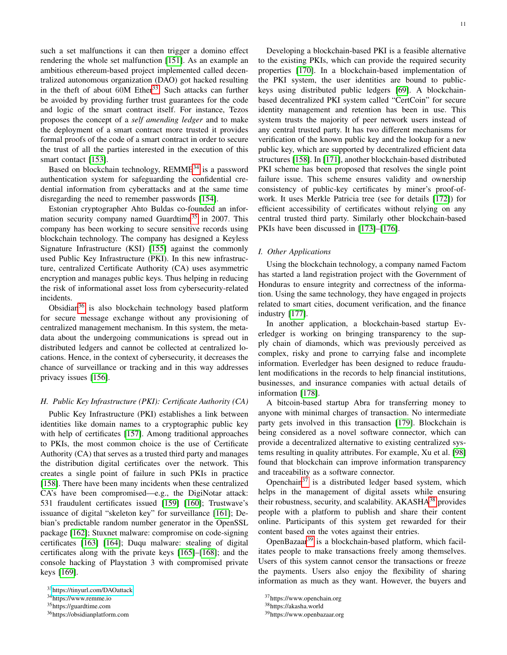such a set malfunctions it can then trigger a domino effect rendering the whole set malfunction [\[151\]](#page-19-8). As an example an ambitious ethereum-based project implemented called decentralized autonomous organization (DAO) got hacked resulting in the theft of about  $60M$  Ether<sup>[33](#page-10-1)</sup>. Such attacks can further be avoided by providing further trust guarantees for the code and logic of the smart contract itself. For instance, Tezos proposes the concept of a *self amending ledger* and to make the deployment of a smart contract more trusted it provides formal proofs of the code of a smart contract in order to secure the trust of all the parties interested in the execution of this smart contact [\[153\]](#page-19-10).

Based on blockchain technology,  $REMME<sup>34</sup>$  $REMME<sup>34</sup>$  $REMME<sup>34</sup>$  is a password authentication system for safeguarding the confidential credential information from cyberattacks and at the same time disregarding the need to remember passwords [\[154\]](#page-19-11).

Estonian cryptographer Ahto Buldas co-founded an infor-mation security company named Guardtime<sup>[35](#page-10-3)</sup> in 2007. This company has been working to secure sensitive records using blockchain technology. The company has designed a Keyless Signature Infrastructure (KSI) [\[155\]](#page-19-12) against the commonly used Public Key Infrastructure (PKI). In this new infrastructure, centralized Certificate Authority (CA) uses asymmetric encryption and manages public keys. Thus helping in reducing the risk of informational asset loss from cybersecurity-related incidents.

Obsidian<sup>[36](#page-10-4)</sup> is also blockchain technology based platform for secure message exchange without any provisioning of centralized management mechanism. In this system, the metadata about the undergoing communications is spread out in distributed ledgers and cannot be collected at centralized locations. Hence, in the context of cybersecurity, it decreases the chance of surveillance or tracking and in this way addresses privacy issues [\[156\]](#page-19-13).

## <span id="page-10-0"></span>*H. Public Key Infrastructure (PKI): Certificate Authority (CA)*

Public Key Infrastructure (PKI) establishes a link between identities like domain names to a cryptographic public key with help of certificates [\[157\]](#page-19-14). Among traditional approaches to PKIs, the most common choice is the use of Certificate Authority (CA) that serves as a trusted third party and manages the distribution digital certificates over the network. This creates a single point of failure in such PKIs in practice [\[158\]](#page-19-15). There have been many incidents when these centralized CA's have been compromised—e.g., the DigiNotar attack: 531 fraudulent certificates issued [\[159\]](#page-19-16) [\[160\]](#page-19-17); Trustwave's issuance of digital "skeleton key" for surveillance [\[161\]](#page-19-18); Debian's predictable random number generator in the OpenSSL package [\[162\]](#page-19-19); Stuxnet malware: compromise on code-signing certificates [\[163\]](#page-19-20) [\[164\]](#page-19-21); Duqu malware: stealing of digital certificates along with the private keys [\[165\]](#page-19-22)–[\[168\]](#page-19-23); and the console hacking of Playstation 3 with compromised private keys [\[169\]](#page-19-24).

Developing a blockchain-based PKI is a feasible alternative to the existing PKIs, which can provide the required security properties [\[170\]](#page-19-25). In a blockchain-based implementation of the PKI system, the user identities are bound to publickeys using distributed public ledgers [\[69\]](#page-17-32). A blockchainbased decentralized PKI system called "CertCoin" for secure identity management and retention has been in use. This system trusts the majority of peer network users instead of any central trusted party. It has two different mechanisms for verification of the known public key and the lookup for a new public key, which are supported by decentralized efficient data structures [\[158\]](#page-19-15). In [\[171\]](#page-19-26), another blockchain-based distributed PKI scheme has been proposed that resolves the single point failure issue. This scheme ensures validity and ownership consistency of public-key certificates by miner's proof-ofwork. It uses Merkle Patricia tree (see for details [\[172\]](#page-19-27)) for efficient accessibility of certificates without relying on any central trusted third party. Similarly other blockchain-based PKIs have been discussed in [\[173\]](#page-19-28)–[\[176\]](#page-19-29).

# *I. Other Applications*

Using the blockchain technology, a company named Factom has started a land registration project with the Government of Honduras to ensure integrity and correctness of the information. Using the same technology, they have engaged in projects related to smart cities, document verification, and the finance industry [\[177\]](#page-19-30).

In another application, a blockchain-based startup Everledger is working on bringing transparency to the supply chain of diamonds, which was previously perceived as complex, risky and prone to carrying false and incomplete information. Everledger has been designed to reduce fraudulent modifications in the records to help financial institutions, businesses, and insurance companies with actual details of information [\[178\]](#page-19-31).

A bitcoin-based startup Abra for transferring money to anyone with minimal charges of transaction. No intermediate party gets involved in this transaction [\[179\]](#page-19-32). Blockchain is being considered as a novel software connector, which can provide a decentralized alternative to existing centralized systems resulting in quality attributes. For example, Xu et al. [\[98\]](#page-18-18) found that blockchain can improve information transparency and traceability as a software connector.

Openchain<sup>[37](#page-10-5)</sup> is a distributed ledger based system, which helps in the management of digital assets while ensuring their robustness, security, and scalability. AKASHA<sup>[38](#page-10-6)</sup> provides people with a platform to publish and share their content online. Participants of this system get rewarded for their content based on the votes against their entries.

OpenBazaar<sup>[39](#page-10-7)</sup> is a blockchain-based platform, which facilitates people to make transactions freely among themselves. Users of this system cannot censor the transactions or freeze the payments. Users also enjoy the flexibility of sharing information as much as they want. However, the buyers and

<span id="page-10-1"></span><sup>33</sup><https://tinyurl.com/DAOattack>

<span id="page-10-2"></span><sup>34</sup>https://www.remme.io

<span id="page-10-3"></span><sup>35</sup>https://guardtime.com

<span id="page-10-4"></span><sup>36</sup>https://obsidianplatform.com

<span id="page-10-5"></span><sup>37</sup>https://www.openchain.org

<span id="page-10-6"></span><sup>38</sup>https://akasha.world

<span id="page-10-7"></span><sup>39</sup>https://www.openbazaar.org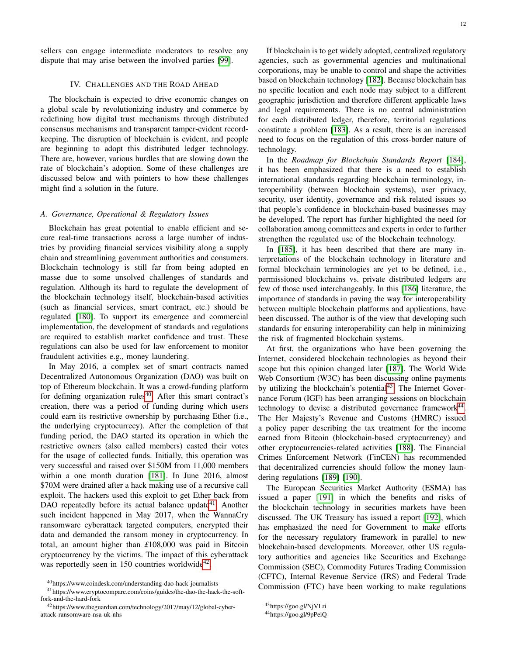sellers can engage intermediate moderators to resolve any dispute that may arise between the involved parties [\[99\]](#page-18-19).

# IV. CHALLENGES AND THE ROAD AHEAD

<span id="page-11-0"></span>The blockchain is expected to drive economic changes on a global scale by revolutionizing industry and commerce by redefining how digital trust mechanisms through distributed consensus mechanisms and transparent tamper-evident recordkeeping. The disruption of blockchain is evident, and people are beginning to adopt this distributed ledger technology. There are, however, various hurdles that are slowing down the rate of blockchain's adoption. Some of these challenges are discussed below and with pointers to how these challenges might find a solution in the future.

## *A. Governance, Operational & Regulatory Issues*

Blockchain has great potential to enable efficient and secure real-time transactions across a large number of industries by providing financial services visibility along a supply chain and streamlining government authorities and consumers. Blockchain technology is still far from being adopted en masse due to some unsolved challenges of standards and regulation. Although its hard to regulate the development of the blockchain technology itself, blockchain-based activities (such as financial services, smart contract, etc.) should be regulated [\[180\]](#page-19-33). To support its emergence and commercial implementation, the development of standards and regulations are required to establish market confidence and trust. These regulations can also be used for law enforcement to monitor fraudulent activities e.g., money laundering.

In May 2016, a complex set of smart contracts named Decentralized Autonomous Organization (DAO) was built on top of Ethereum blockchain. It was a crowd-funding platform for defining organization rules $40$ . After this smart contract's creation, there was a period of funding during which users could earn its restrictive ownership by purchasing Ether (i.e., the underlying cryptocurrecy). After the completion of that funding period, the DAO started its operation in which the restrictive owners (also called members) casted their votes for the usage of collected funds. Initially, this operation was very successful and raised over \$150M from 11,000 members within a one month duration [\[181\]](#page-19-34). In June 2016, almost \$70M were drained after a hack making use of a recursive call exploit. The hackers used this exploit to get Ether back from DAO repeatedly before its actual balance update<sup>[41](#page-11-2)</sup>. Another such incident happened in May 2017, when the WannaCry ransomware cyberattack targeted computers, encrypted their data and demanded the ransom money in cryptocurrency. In total, an amount higher than *£*108,000 was paid in Bitcoin cryptocurrency by the victims. The impact of this cyberattack was reportedly seen in 150 countries worldwide<sup>[42](#page-11-3)</sup>.

If blockchain is to get widely adopted, centralized regulatory agencies, such as governmental agencies and multinational corporations, may be unable to control and shape the activities based on blockchain technology [\[182\]](#page-19-35). Because blockchain has no specific location and each node may subject to a different geographic jurisdiction and therefore different applicable laws and legal requirements. There is no central administration for each distributed ledger, therefore, territorial regulations constitute a problem [\[183\]](#page-19-36). As a result, there is an increased need to focus on the regulation of this cross-border nature of technology.

In the *Roadmap for Blockchain Standards Report* [\[184\]](#page-19-37), it has been emphasized that there is a need to establish international standards regarding blockchain terminology, interoperability (between blockchain systems), user privacy, security, user identity, governance and risk related issues so that people's confidence in blockchain-based businesses may be developed. The report has further highlighted the need for collaboration among committees and experts in order to further strengthen the regulated use of the blockchain technology.

In [\[185\]](#page-19-38), it has been described that there are many interpretations of the blockchain technology in literature and formal blockchain terminologies are yet to be defined, i.e., permissioned blockchains vs. private distributed ledgers are few of those used interchangeably. In this [\[186\]](#page-19-39) literature, the importance of standards in paving the way for interoperability between multiple blockchain platforms and applications, have been discussed. The author is of the view that developing such standards for ensuring interoperability can help in minimizing the risk of fragmented blockchain systems.

At first, the organizations who have been governing the Internet, considered blockchain technologies as beyond their scope but this opinion changed later [\[187\]](#page-19-40). The World Wide Web Consortium (W3C) has been discussing online payments by utilizing the blockchain's potential $43$ . The Internet Governance Forum (IGF) has been arranging sessions on blockchain technology to devise a distributed governance framework $44$ . The Her Majesty's Revenue and Customs (HMRC) issued a policy paper describing the tax treatment for the income earned from Bitcoin (blockchain-based cryptocurrency) and other cryptocurrencies-related activities [\[188\]](#page-19-41). The Financial Crimes Enforcement Network (FinCEN) has recommended that decentralized currencies should follow the money laundering regulations [\[189\]](#page-19-42) [\[190\]](#page-19-43).

The European Securities Market Authority (ESMA) has issued a paper [\[191\]](#page-19-44) in which the benefits and risks of the blockchain technology in securities markets have been discussed. The UK Treasury has issued a report [\[192\]](#page-19-45), which has emphasized the need for Government to make efforts for the necessary regulatory framework in parallel to new blockchain-based developments. Moreover, other US regulatory authorities and agencies like Securities and Exchange Commission (SEC), Commodity Futures Trading Commission (CFTC), Internal Revenue Service (IRS) and Federal Trade Commission (FTC) have been working to make regulations

<span id="page-11-2"></span><span id="page-11-1"></span><sup>40</sup>https://www.coindesk.com/understanding-dao-hack-journalists

<sup>41</sup>https://www.cryptocompare.com/coins/guides/the-dao-the-hack-the-softfork-and-the-hard-fork

<span id="page-11-3"></span><sup>42</sup>https://www.theguardian.com/technology/2017/may/12/global-cyberattack-ransomware-nsa-uk-nhs

<span id="page-11-4"></span><sup>43</sup>https://goo.gl/NjVLri

<span id="page-11-5"></span><sup>44</sup>https://goo.gl/9pPeiQ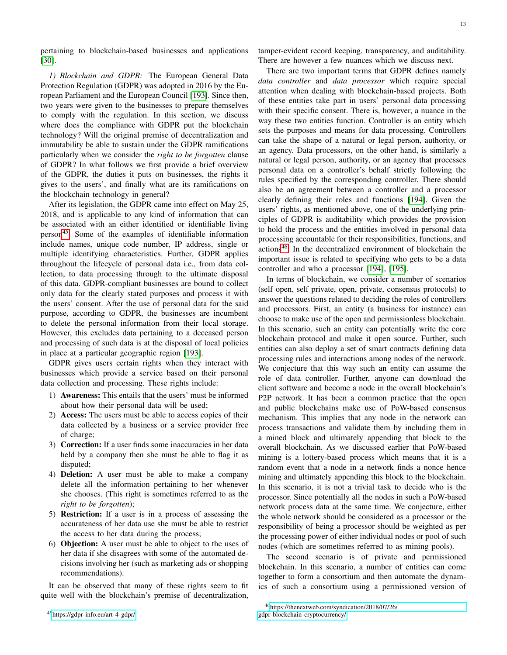pertaining to blockchain-based businesses and applications [\[30\]](#page-17-0).

*1) Blockchain and GDPR:* The European General Data Protection Regulation (GDPR) was adopted in 2016 by the European Parliament and the European Council [\[193\]](#page-19-46). Since then, two years were given to the businesses to prepare themselves to comply with the regulation. In this section, we discuss where does the compliance with GDPR put the blockchain technology? Will the original premise of decentralization and immutability be able to sustain under the GDPR ramifications particularly when we consider the *right to be forgotten* clause of GDPR? In what follows we first provide a brief overview of the GDPR, the duties it puts on businesses, the rights it gives to the users', and finally what are its ramifications on the blockchain technology in general?

After its legislation, the GDPR came into effect on May 25, 2018, and is applicable to any kind of information that can be associated with an either identified or identifiable living person[45](#page-12-0). Some of the examples of identifiable information include names, unique code number, IP address, single or multiple identifying characteristics. Further, GDPR applies throughout the lifecycle of personal data i.e., from data collection, to data processing through to the ultimate disposal of this data. GDPR-compliant businesses are bound to collect only data for the clearly stated purposes and process it with the users' consent. After the use of personal data for the said purpose, according to GDPR, the businesses are incumbent to delete the personal information from their local storage. However, this excludes data pertaining to a deceased person and processing of such data is at the disposal of local policies in place at a particular geographic region [\[193\]](#page-19-46).

GDPR gives users certain rights when they interact with businesses which provide a service based on their personal data collection and processing. These rights include:

- 1) Awareness: This entails that the users' must be informed about how their personal data will be used;
- 2) Access: The users must be able to access copies of their data collected by a business or a service provider free of charge;
- 3) Correction: If a user finds some inaccuracies in her data held by a company then she must be able to flag it as disputed;
- 4) Deletion: A user must be able to make a company delete all the information pertaining to her whenever she chooses. (This right is sometimes referred to as the *right to be forgotten*);
- 5) Restriction: If a user is in a process of assessing the accurateness of her data use she must be able to restrict the access to her data during the process;
- 6) Objection: A user must be able to object to the uses of her data if she disagrees with some of the automated decisions involving her (such as marketing ads or shopping recommendations).

<span id="page-12-0"></span>It can be observed that many of these rights seem to fit quite well with the blockchain's premise of decentralization, tamper-evident record keeping, transparency, and auditability. There are however a few nuances which we discuss next.

There are two important terms that GDPR defines namely *data controller* and *data processor* which require special attention when dealing with blockchain-based projects. Both of these entities take part in users' personal data processing with their specific consent. There is, however, a nuance in the way these two entities function. Controller is an entity which sets the purposes and means for data processing. Controllers can take the shape of a natural or legal person, authority, or an agency. Data processors, on the other hand, is similarly a natural or legal person, authority, or an agency that processes personal data on a controller's behalf strictly following the rules specified by the corresponding controller. There should also be an agreement between a controller and a processor clearly defining their roles and functions [\[194\]](#page-19-47). Given the users' rights, as mentioned above, one of the underlying principles of GDPR is auditability which provides the provision to hold the process and the entities involved in personal data processing accountable for their responsibilities, functions, and actions[46](#page-12-1). In the decentralized environment of blockchain the important issue is related to specifying who gets to be a data controller and who a processor [\[194\]](#page-19-47), [\[195\]](#page-19-48).

In terms of blockchain, we consider a number of scenarios (self open, self private, open, private, consensus protocols) to answer the questions related to deciding the roles of controllers and processors. First, an entity (a business for instance) can choose to make use of the open and permissionless blockchain. In this scenario, such an entity can potentially write the core blockchain protocol and make it open source. Further, such entities can also deploy a set of smart contracts defining data processing rules and interactions among nodes of the network. We conjecture that this way such an entity can assume the role of data controller. Further, anyone can download the client software and become a node in the overall blockchain's P2P network. It has been a common practice that the open and public blockchains make use of PoW-based consensus mechanism. This implies that any node in the network can process transactions and validate them by including them in a mined block and ultimately appending that block to the overall blockchain. As we discussed earlier that PoW-based mining is a lottery-based process which means that it is a random event that a node in a network finds a nonce hence mining and ultimately appending this block to the blockchain. In this scenario, it is not a trivial task to decide who is the processor. Since potentially all the nodes in such a PoW-based network process data at the same time. We conjecture, either the whole network should be considered as a processor or the responsibility of being a processor should be weighted as per the processing power of either individual nodes or pool of such nodes (which are sometimes referred to as mining pools).

The second scenario is of private and permissioned blockchain. In this scenario, a number of entities can come together to form a consortium and then automate the dynamics of such a consortium using a permissioned version of

<span id="page-12-1"></span><sup>46</sup>[https://thenextweb.com/syndication/2018/07/26/](https://thenextweb.com/syndication/2018/07/26/gdpr-blockchain-cryptocurrency/) [gdpr-blockchain-cryptocurrency/](https://thenextweb.com/syndication/2018/07/26/gdpr-blockchain-cryptocurrency/)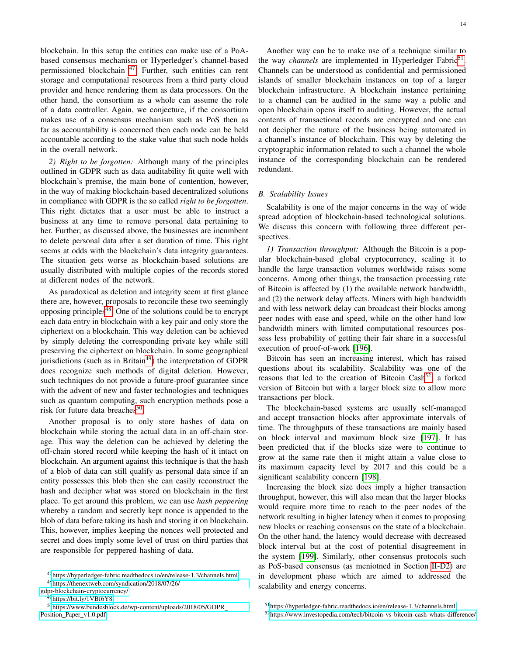blockchain. In this setup the entities can make use of a PoAbased consensus mechanism or Hyperledger's channel-based permissioned blockchain <sup>[47](#page-13-0)</sup>. Further, such entities can rent storage and computational resources from a third party cloud provider and hence rendering them as data processors. On the other hand, the consortium as a whole can assume the role of a data controller. Again, we conjecture, if the consortium makes use of a consensus mechanism such as PoS then as far as accountability is concerned then each node can be held accountable according to the stake value that such node holds in the overall network.

*2) Right to be forgotten:* Although many of the principles outlined in GDPR such as data auditability fit quite well with blockchain's premise, the main bone of contention, however, in the way of making blockchain-based decentralized solutions in compliance with GDPR is the so called *right to be forgotten*. This right dictates that a user must be able to instruct a business at any time to remove personal data pertaining to her. Further, as discussed above, the businesses are incumbent to delete personal data after a set duration of time. This right seems at odds with the blockchain's data integrity guarantees. The situation gets worse as blockchain-based solutions are usually distributed with multiple copies of the records stored at different nodes of the network.

As paradoxical as deletion and integrity seem at first glance there are, however, proposals to reconcile these two seemingly opposing principles<sup>[48](#page-13-1)</sup>. One of the solutions could be to encrypt each data entry in blockchain with a key pair and only store the ciphertext on a blockchain. This way deletion can be achieved by simply deleting the corresponding private key while still preserving the ciphertext on blockchain. In some geographical jurisdictions (such as in Britain $49$ ) the interpretation of GDPR does recognize such methods of digital deletion. However, such techniques do not provide a future-proof guarantee since with the advent of new and faster technologies and techniques such as quantum computing, such encryption methods pose a risk for future data breaches<sup>[50](#page-13-3)</sup>.

Another proposal is to only store hashes of data on blockchain while storing the actual data in an off-chain storage. This way the deletion can be achieved by deleting the off-chain stored record while keeping the hash of it intact on blockchain. An argument against this technique is that the hash of a blob of data can still qualify as personal data since if an entity possesses this blob then she can easily reconstruct the hash and decipher what was stored on blockchain in the first place. To get around this problem, we can use *hash peppering* whereby a random and secretly kept nonce is appended to the blob of data before taking its hash and storing it on blockchain. This, however, implies keeping the nonces well protected and secret and does imply some level of trust on third parties that are responsible for peppered hashing of data.

[gdpr-blockchain-cryptocurrency/](https://thenextweb.com/syndication/2018/07/26/gdpr-blockchain-cryptocurrency/)

<span id="page-13-3"></span><span id="page-13-2"></span><sup>49</sup><https://bit.ly/1VBf6Y8>

Another way can be to make use of a technique similar to the way *channels* are implemented in Hyperledger Fabric<sup>[51](#page-13-4)</sup>. Channels can be understood as confidential and permissioned islands of smaller blockchain instances on top of a larger blockchain infrastructure. A blockchain instance pertaining to a channel can be audited in the same way a public and open blockchain opens itself to auditing. However, the actual contents of transactional records are encrypted and one can not decipher the nature of the business being automated in a channel's instance of blockchain. This way by deleting the cryptographic information related to such a channel the whole instance of the corresponding blockchain can be rendered redundant.

#### *B. Scalability Issues*

Scalability is one of the major concerns in the way of wide spread adoption of blockchain-based technological solutions. We discuss this concern with following three different perspectives.

*1) Transaction throughput:* Although the Bitcoin is a popular blockchain-based global cryptocurrency, scaling it to handle the large transaction volumes worldwide raises some concerns. Among other things, the transaction processing rate of Bitcoin is affected by (1) the available network bandwidth, and (2) the network delay affects. Miners with high bandwidth and with less network delay can broadcast their blocks among peer nodes with ease and speed, while on the other hand low bandwidth miners with limited computational resources possess less probability of getting their fair share in a successful execution of proof-of-work [\[196\]](#page-19-49).

Bitcoin has seen an increasing interest, which has raised questions about its scalability. Scalability was one of the reasons that led to the creation of Bitcoin Cash<sup>[52](#page-13-5)</sup>; a forked version of Bitcoin but with a larger block size to allow more transactions per block.

The blockchain-based systems are usually self-managed and accept transaction blocks after approximate intervals of time. The throughputs of these transactions are mainly based on block interval and maximum block size [\[197\]](#page-19-50). It has been predicted that if the blocks size were to continue to grow at the same rate then it might attain a value close to its maximum capacity level by 2017 and this could be a significant scalability concern [\[198\]](#page-19-51).

Increasing the block size does imply a higher transaction throughput, however, this will also mean that the larger blocks would require more time to reach to the peer nodes of the network resulting in higher latency when it comes to proposing new blocks or reaching consensus on the state of a blockchain. On the other hand, the latency would decrease with decreased block interval but at the cost of potential disagreement in the system [\[199\]](#page-19-52). Similarly, other consensus protocols such as PoS-based consensus (as meniotned in Section [II-D2\)](#page-3-6) are in development phase which are aimed to addressed the scalability and energy concerns.

<span id="page-13-1"></span><span id="page-13-0"></span><sup>47</sup><https://hyperledger-fabric.readthedocs.io/en/release-1.3/channels.html> <sup>48</sup>[https://thenextweb.com/syndication/2018/07/26/](https://thenextweb.com/syndication/2018/07/26/gdpr-blockchain-cryptocurrency/)

<sup>50</sup>[https://www.bundesblock.de/wp-content/uploads/2018/05/GDPR](https://www.bundesblock.de/wp-content/uploads/2018/05/GDPR_Position_Paper_v1.0.pdf) Position\_Paper\_[v1.0.pdf](https://www.bundesblock.de/wp-content/uploads/2018/05/GDPR_Position_Paper_v1.0.pdf)

<span id="page-13-4"></span><sup>51</sup><https://hyperledger-fabric.readthedocs.io/en/release-1.3/channels.html>

<span id="page-13-5"></span><sup>52</sup><https://www.investopedia.com/tech/bitcoin-vs-bitcoin-cash-whats-difference/>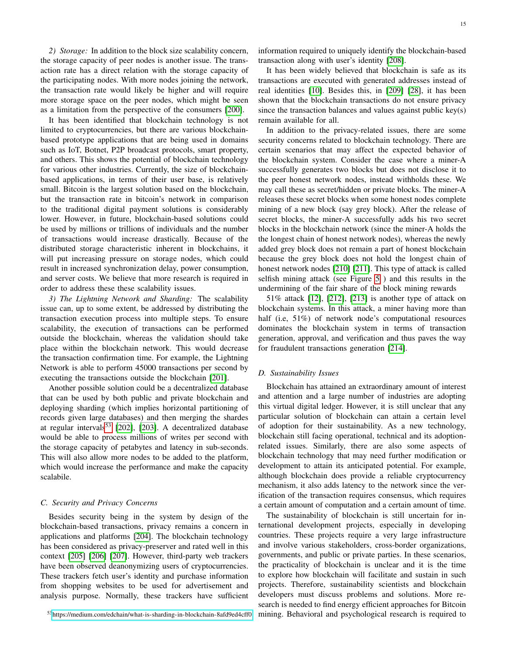It has been identified that blockchain technology is not limited to cryptocurrencies, but there are various blockchainbased prototype applications that are being used in domains such as IoT, Botnet, P2P broadcast protocols, smart property, and others. This shows the potential of blockchain technology for various other industries. Currently, the size of blockchainbased applications, in terms of their user base, is relatively small. Bitcoin is the largest solution based on the blockchain, but the transaction rate in bitcoin's network in comparison to the traditional digital payment solutions is considerably lower. However, in future, blockchain-based solutions could be used by millions or trillions of individuals and the number of transactions would increase drastically. Because of the distributed storage characteristic inherent in blockchains, it will put increasing pressure on storage nodes, which could result in increased synchronization delay, power consumption, and server costs. We believe that more research is required in order to address these these scalability issues.

*3) The Lightning Network and Sharding:* The scalability issue can, up to some extent, be addressed by distributing the transaction execution process into multiple steps. To ensure scalability, the execution of transactions can be performed outside the blockchain, whereas the validation should take place within the blockchain network. This would decrease the transaction confirmation time. For example, the Lightning Network is able to perform 45000 transactions per second by executing the transactions outside the blockchain [\[201\]](#page-19-54).

Another possible solution could be a decentralized database that can be used by both public and private blockchain and deploying sharding (which implies horizontal partitioning of records given large databases) and then merging the shardes at regular intervals $53$  [\[202\]](#page-19-55), [\[203\]](#page-20-0). A decentralized database would be able to process millions of writes per second with the storage capacity of petabytes and latency in sub-seconds. This will also allow more nodes to be added to the platform, which would increase the performance and make the capacity scalabile.

#### *C. Security and Privacy Concerns*

<span id="page-14-0"></span>Besides security being in the system by design of the blockchain-based transactions, privacy remains a concern in applications and platforms [\[204\]](#page-20-1). The blockchain technology has been considered as privacy-preserver and rated well in this context [\[205\]](#page-20-2) [\[206\]](#page-20-3) [\[207\]](#page-20-4). However, third-party web trackers have been observed deanonymizing users of cryptocurrencies. These trackers fetch user's identity and purchase information from shopping websites to be used for advertisement and analysis purpose. Normally, these trackers have sufficient information required to uniquely identify the blockchain-based transaction along with user's identity [\[208\]](#page-20-5).

It has been widely believed that blockchain is safe as its transactions are executed with generated addresses instead of real identities [\[10\]](#page-16-10). Besides this, in [\[209\]](#page-20-6) [\[28\]](#page-16-27), it has been shown that the blockchain transactions do not ensure privacy since the transaction balances and values against public key(s) remain available for all.

In addition to the privacy-related issues, there are some security concerns related to blockchain technology. There are certain scenarios that may affect the expected behavior of the blockchain system. Consider the case where a miner-A successfully generates two blocks but does not disclose it to the peer honest network nodes, instead withholds these. We may call these as secret/hidden or private blocks. The miner-A releases these secret blocks when some honest nodes complete mining of a new block (say grey block). After the release of secret blocks, the miner-A successfully adds his two secret blocks in the blockchain network (since the miner-A holds the the longest chain of honest network nodes), whereas the newly added grey block does not remain a part of honest blockchain because the grey block does not hold the longest chain of honest network nodes [\[210\]](#page-20-7) [\[211\]](#page-20-8). This type of attack is called selfish mining attack (see Figure [5](#page-15-0) ) and this results in the undermining of the fair share of the block mining rewards

51% attack [\[12\]](#page-16-12), [\[212\]](#page-20-9), [\[213\]](#page-20-10) is another type of attack on blockchain systems. In this attack, a miner having more than half (i.e, 51%) of network node's computational resources dominates the blockchain system in terms of transaction generation, approval, and verification and thus paves the way for fraudulent transactions generation [\[214\]](#page-20-11).

# *D. Sustainability Issues*

Blockchain has attained an extraordinary amount of interest and attention and a large number of industries are adopting this virtual digital ledger. However, it is still unclear that any particular solution of blockchain can attain a certain level of adoption for their sustainability. As a new technology, blockchain still facing operational, technical and its adoptionrelated issues. Similarly, there are also some aspects of blockchain technology that may need further modification or development to attain its anticipated potential. For example, although blockchain does provide a reliable cryptocurrency mechanism, it also adds latency to the network since the verification of the transaction requires consensus, which requires a certain amount of computation and a certain amount of time.

The sustainability of blockchain is still uncertain for international development projects, especially in developing countries. These projects require a very large infrastructure and involve various stakeholders, cross-border organizations, governments, and public or private parties. In these scenarios, the practicality of blockchain is unclear and it is the time to explore how blockchain will facilitate and sustain in such projects. Therefore, sustainability scientists and blockchain developers must discuss problems and solutions. More research is needed to find energy efficient approaches for Bitcoin mining. Behavioral and psychological research is required to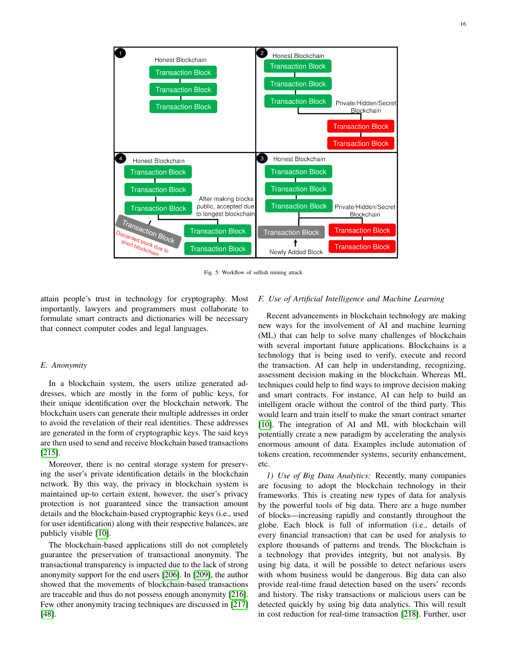<span id="page-15-0"></span>

Fig. 5: Workflow of selfish mining attack

attain people's trust in technology for cryptography. Most importantly, lawyers and programmers must collaborate to formulate smart contracts and dictionaries will be necessary that connect computer codes and legal languages.

# *E. Anonymity*

In a blockchain system, the users utilize generated addresses, which are mostly in the form of public keys, for their unique identification over the blockchain network. The blockchain users can generate their multiple addresses in order to avoid the revelation of their real identities. These addresses are generated in the form of cryptographic keys. The said keys are then used to send and receive blockchain based transactions [\[215\]](#page-20-12).

Moreover, there is no central storage system for preserving the user's private identification details in the blockchain network. By this way, the privacy in blockchain system is maintained up-to certain extent, however, the user's privacy protection is not guaranteed since the transaction amount details and the blockchain-based cryptographic keys (i.e., used for user identification) along with their respective balances, are publicly visible [\[10\]](#page-16-10).

The blockchain-based applications still do not completely guarantee the preservation of transactional anonymity. The transactional transparency is impacted due to the lack of strong anonymity support for the end users [\[206\]](#page-20-3). In [\[209\]](#page-20-6), the author showed that the movements of blockchain-based transactions are traceable and thus do not possess enough anonymity [\[216\]](#page-20-13). Few other anonymity tracing techniques are discussed in [\[217\]](#page-20-14) [\[48\]](#page-17-19).

# *F. Use of Artificial Intelligence and Machine Learning*

Recent advancements in blockchain technology are making new ways for the involvement of AI and machine learning (ML) that can help to solve many challenges of blockchain with several important future applications. Blockchains is a technology that is being used to verify, execute and record the transaction. AI can help in understanding, recognizing, assessment decision making in the blockchain. Whereas ML techniques could help to find ways to improve decision making and smart contracts. For instance, AI can help to build an intelligent oracle without the control of the third party. This would learn and train itself to make the smart contract smarter [\[10\]](#page-16-10). The integration of AI and ML with blockchain will potentially create a new paradigm by accelerating the analysis enormous amount of data. Examples include automation of tokens creation, recommender systems, security enhancement, etc.

*1) Use of Big Data Analytics:* Recently, many companies are focusing to adopt the blockchain technology in their frameworks. This is creating new types of data for analysis by the powerful tools of big data. There are a huge number of blocks—increasing rapidly and constantly throughout the globe. Each block is full of information (i.e., details of every financial transaction) that can be used for analysis to explore thousands of patterns and trends. The blockchain is a technology that provides integrity, but not analysis. By using big data, it will be possible to detect nefarious users with whom business would be dangerous. Big data can also provide real-time fraud detection based on the users' records and history. The risky transactions or malicious users can be detected quickly by using big data analytics. This will result in cost reduction for real-time transaction [\[218\]](#page-20-15). Further, user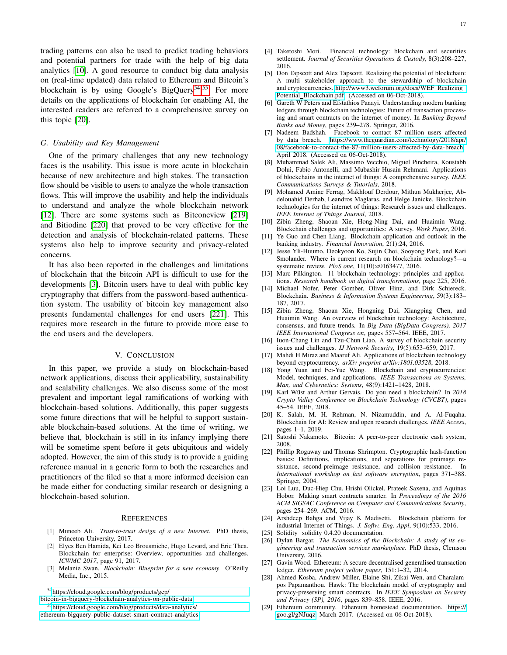trading patterns can also be used to predict trading behaviors and potential partners for trade with the help of big data analytics [\[10\]](#page-16-10). A good resource to conduct big data analysis on (real-time updated) data related to Ethereum and Bitcoin's blockchain is by using Google's BigQuery<sup>[54](#page-16-29)</sup>,<sup>[55](#page-16-30)</sup>. For more details on the applications of blockchain for enabling AI, the interested readers are referred to a comprehensive survey on this topic [\[20\]](#page-16-20).

#### *G. Usability and Key Management*

One of the primary challenges that any new technology faces is the usability. This issue is more acute in blockchain because of new architecture and high stakes. The transaction flow should be visible to users to analyze the whole transaction flows. This will improve the usability and help the individuals to understand and analyze the whole blockchain network [\[12\]](#page-16-12). There are some systems such as Bitconeview [\[219\]](#page-20-16) and Bitiodine [\[220\]](#page-20-17) that proved to be very effective for the detection and analysis of blockchain-related patterns. These systems also help to improve security and privacy-related concerns.

It has also been reported in the challenges and limitations of blockchain that the bitcoin API is difficult to use for the developments [\[3\]](#page-16-25). Bitcoin users have to deal with public key cryptography that differs from the password-based authentication system. The usability of bitcoin key management also presents fundamental challenges for end users [\[221\]](#page-20-18). This requires more research in the future to provide more ease to the end users and the developers.

# V. CONCLUSION

<span id="page-16-7"></span>In this paper, we provide a study on blockchain-based network applications, discuss their applicability, sustainability and scalability challenges. We also discuss some of the most prevalent and important legal ramifications of working with blockchain-based solutions. Additionally, this paper suggests some future directions that will be helpful to support sustainable blockchain-based solutions. At the time of writing, we believe that, blockchain is still in its infancy implying there will be sometime spent before it gets ubiquitous and widely adopted. However, the aim of this study is to provide a guiding reference manual in a generic form to both the researches and practitioners of the filed so that a more informed decision can be made either for conducting similar research or designing a blockchain-based solution.

## **REFERENCES**

- <span id="page-16-0"></span>[1] Muneeb Ali. *Trust-to-trust design of a new Internet*. PhD thesis, Princeton University, 2017.
- <span id="page-16-1"></span>[2] Elyes Ben Hamida, Kei Leo Brousmiche, Hugo Levard, and Eric Thea. Blockchain for enterprise: Overview, opportunities and challenges. *ICWMC 2017*, page 91, 2017.
- <span id="page-16-25"></span>[3] Melanie Swan. *Blockchain: Blueprint for a new economy*. O'Reilly Media, Inc., 2015.

<span id="page-16-29"></span><sup>54</sup>[https://cloud.google.com/blog/products/gcp/](https://cloud.google.com/blog/products/gcp/bitcoin-in-bigquery-blockchain-analytics-on-public-data)

[bitcoin-in-bigquery-blockchain-analytics-on-public-data](https://cloud.google.com/blog/products/gcp/bitcoin-in-bigquery-blockchain-analytics-on-public-data)

- [4] Taketoshi Mori. Financial technology: blockchain and securities settlement. *Journal of Securities Operations & Custody*, 8(3):208–227, 2016.
- <span id="page-16-2"></span>[5] Don Tapscott and Alex Tapscott. Realizing the potential of blockchain: A multi stakeholder approach to the stewardship of blockchain and cryptocurrencies. [http://www3.weforum.org/docs/WEF](http://www3.weforum.org/docs/WEF_Realizing_Potential_Blockchain.pdf)\_Realizing\_ Potential [Blockchain.pdf.](http://www3.weforum.org/docs/WEF_Realizing_Potential_Blockchain.pdf) (Accessed on 06-Oct-2018).
- <span id="page-16-3"></span>[6] Gareth W Peters and Efstathios Panayi. Understanding modern banking ledgers through blockchain technologies: Future of transaction processing and smart contracts on the internet of money. In *Banking Beyond Banks and Money*, pages 239–278. Springer, 2016.
- <span id="page-16-4"></span>[7] Nadeem Badshah. Facebook to contact 87 million users affected by data breach. [https://www.theguardian.com/technology/2018/apr/](https://www.theguardian.com/technology/2018/apr/08/facebook-to-contact-the-87-million-users-affected-by-data-breach) [08/facebook-to-contact-the-87-million-users-affected-by-data-breach,](https://www.theguardian.com/technology/2018/apr/08/facebook-to-contact-the-87-million-users-affected-by-data-breach) April 2018. (Accessed on 06-Oct-2018).
- <span id="page-16-5"></span>[8] Muhammad Salek Ali, Massimo Vecchio, Miguel Pincheira, Koustabh Dolui, Fabio Antonelli, and Mubashir Husain Rehmani. Applications of blockchains in the internet of things: A comprehensive survey. *IEEE Communications Surveys & Tutorials*, 2018.
- <span id="page-16-6"></span>[9] Mohamed Amine Ferrag, Makhlouf Derdour, Mithun Mukherjee, Abdelouahid Derhab, Leandros Maglaras, and Helge Janicke. Blockchain technologies for the internet of things: Research issues and challenges. *IEEE Internet of Things Journal*, 2018.
- <span id="page-16-10"></span>[10] Zibin Zheng, Shaoan Xie, Hong-Ning Dai, and Huaimin Wang. Blockchain challenges and opportunities: A survey. *Work Paper*, 2016.
- <span id="page-16-11"></span>[11] Ye Guo and Chen Liang. Blockchain application and outlook in the banking industry. *Financial Innovation*, 2(1):24, 2016.
- <span id="page-16-12"></span>[12] Jesse Yli-Huumo, Deokyoon Ko, Sujin Choi, Sooyong Park, and Kari Smolander. Where is current research on blockchain technology?—a systematic review. *PloS one*, 11(10):e0163477, 2016.
- <span id="page-16-13"></span>[13] Marc Pilkington. 11 blockchain technology: principles and applications. *Research handbook on digital transformations*, page 225, 2016.
- <span id="page-16-14"></span>[14] Michael Nofer, Peter Gomber, Oliver Hinz, and Dirk Schiereck. Blockchain. *Business & Information Systems Engineering*, 59(3):183– 187, 2017.
- <span id="page-16-15"></span>[15] Zibin Zheng, Shaoan Xie, Hongning Dai, Xiangping Chen, and Huaimin Wang. An overview of blockchain technology: Architecture, consensus, and future trends. In *Big Data (BigData Congress), 2017 IEEE International Congress on*, pages 557–564. IEEE, 2017.
- <span id="page-16-16"></span>[16] Iuon-Chang Lin and Tzu-Chun Liao. A survey of blockchain security issues and challenges. *IJ Network Security*, 19(5):653–659, 2017.
- <span id="page-16-17"></span>[17] Mahdi H Miraz and Maaruf Ali. Applications of blockchain technology beyond cryptocurrency. *arXiv preprint arXiv:1801.03528*, 2018.
- <span id="page-16-18"></span>[18] Yong Yuan and Fei-Yue Wang. Blockchain and cryptocurrencies: Model, techniques, and applications. *IEEE Transactions on Systems, Man, and Cybernetics: Systems*, 48(9):1421–1428, 2018.
- <span id="page-16-19"></span>[19] Karl Wüst and Arthur Gervais. Do you need a blockchain? In 2018 *Crypto Valley Conference on Blockchain Technology (CVCBT)*, pages 45–54. IEEE, 2018.
- <span id="page-16-20"></span>[20] K. Salah, M. H. Rehman, N. Nizamuddin, and A. Al-Fuqaha. Blockchain for AI: Review and open research challenges. *IEEE Access*, pages 1–1, 2019.
- <span id="page-16-8"></span>[21] Satoshi Nakamoto. Bitcoin: A peer-to-peer electronic cash system, 2008.
- <span id="page-16-9"></span>[22] Phillip Rogaway and Thomas Shrimpton. Cryptographic hash-function basics: Definitions, implications, and separations for preimage resistance, second-preimage resistance, and collision resistance. In *International workshop on fast software encryption*, pages 371–388. Springer, 2004.
- <span id="page-16-21"></span>[23] Loi Luu, Duc-Hiep Chu, Hrishi Olickel, Prateek Saxena, and Aquinas Hobor. Making smart contracts smarter. In *Proceedings of the 2016 ACM SIGSAC Conference on Computer and Communications Security*, pages 254–269. ACM, 2016.
- <span id="page-16-22"></span>[24] Arshdeep Bahga and Vijay K Madisetti. Blockchain platform for industrial Internet of Things. *J. Softw. Eng. Appl*, 9(10):533, 2016.
- <span id="page-16-23"></span>[25] Solidity solidity 0.4.20 documentation.
- <span id="page-16-24"></span>[26] Dylan Bargar. *The Economics of the Blockchain: A study of its engineering and transaction services marketplace*. PhD thesis, Clemson University, 2016.
- <span id="page-16-26"></span>[27] Gavin Wood. Ethereum: A secure decentralised generalised transaction ledger. *Ethereum project yellow paper*, 151:1–32, 2014.
- <span id="page-16-27"></span>[28] Ahmed Kosba, Andrew Miller, Elaine Shi, Zikai Wen, and Charalampos Papamanthou. Hawk: The blockchain model of cryptography and privacy-preserving smart contracts. In *IEEE Symposium on Security and Privacy (SP), 2016*, pages 839–858. IEEE, 2016.
- <span id="page-16-28"></span>[29] Ethereum community. Ethereum homestead documentation. [https://](https://goo.gl/gNJuqz ) [goo.gl/gNJuqz,](https://goo.gl/gNJuqz ) March 2017. (Accessed on 06-Oct-2018).

<span id="page-16-30"></span><sup>55</sup>[https://cloud.google.com/blog/products/data-analytics/](https://cloud.google.com/blog/products/data-analytics/ethereum-bigquery-public-dataset-smart-contract-analytics) [ethereum-bigquery-public-dataset-smart-contract-analytics](https://cloud.google.com/blog/products/data-analytics/ethereum-bigquery-public-dataset-smart-contract-analytics)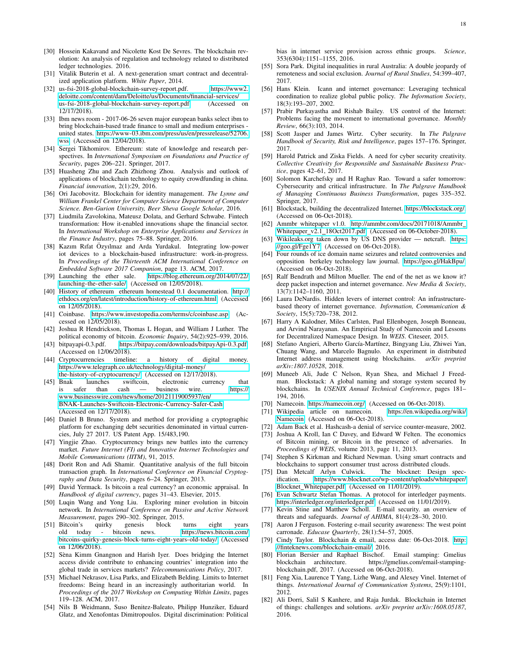- <span id="page-17-0"></span>[30] Hossein Kakavand and Nicolette Kost De Sevres. The blockchain revolution: An analysis of regulation and technology related to distributed ledger technologies. 2016.
- <span id="page-17-1"></span>[31] Vitalik Buterin et al. A next-generation smart contract and decentralized application platform. *White Paper*, 2014.
- <span id="page-17-4"></span>[32] us-fsi-2018-global-blockchain-survey-report.pdf. [https://www2.](https://www2.deloitte.com/content/dam/Deloitte/us/Documents/financial-services/us-fsi-2018-global-blockchain-survey-report.pdf) [deloitte.com/content/dam/Deloitte/us/Documents/financial-services/](https://www2.deloitte.com/content/dam/Deloitte/us/Documents/financial-services/us-fsi-2018-global-blockchain-survey-report.pdf) [us-fsi-2018-global-blockchain-survey-report.pdf.](https://www2.deloitte.com/content/dam/Deloitte/us/Documents/financial-services/us-fsi-2018-global-blockchain-survey-report.pdf) (Accessed on 12/17/2018).
- <span id="page-17-5"></span>[33] Ibm news room - 2017-06-26 seven major european banks select ibm to bring blockchain-based trade finance to small and medium enterprises united states. [https://www-03.ibm.com/press/us/en/pressrelease/52706.](https://www-03.ibm.com/press/us/en/pressrelease/52706.wss) [wss.](https://www-03.ibm.com/press/us/en/pressrelease/52706.wss) (Accessed on 12/04/2018).
- <span id="page-17-6"></span>[34] Sergei Tikhomirov. Ethereum: state of knowledge and research perspectives. In *International Symposium on Foundations and Practice of Security*, pages 206–221. Springer, 2017.
- <span id="page-17-7"></span>[35] Huasheng Zhu and Zach Zhizhong Zhou. Analysis and outlook of applications of blockchain technology to equity crowdfunding in china. *Financial innovation*, 2(1):29, 2016.
- <span id="page-17-8"></span>[36] Ori Jacobovitz. Blockchain for identity management. *The Lynne and William Frankel Center for Computer Science Department of Computer Science. Ben-Gurion University, Beer Sheva Google Scholar*, 2016.
- <span id="page-17-9"></span>[37] Liudmila Zavolokina, Mateusz Dolata, and Gerhard Schwabe. Fintech transformation: How it-enabled innovations shape the financial sector. In *International Workshop on Enterprise Applications and Services in the Finance Industry*, pages 75–88. Springer, 2016.
- <span id="page-17-10"></span>[38] Kazım Rıfat Özyılmaz and Arda Yurdakul. Integrating low-power iot devices to a blockchain-based infrastructure: work-in-progress. In *Proceedings of the Thirteenth ACM International Conference on Embedded Software 2017 Companion*, page 13. ACM, 2017.
- <span id="page-17-11"></span>[39] Launching the ether sale. [https://blog.ethereum.org/2014/07/22/](https://blog.ethereum.org/2014/07/22/launching-the-ether-sale/) [launching-the-ether-sale/.](https://blog.ethereum.org/2014/07/22/launching-the-ether-sale/) (Accessed on 12/05/2018).
- <span id="page-17-12"></span>[40] History of ethereum ethereum homestead 0.1 documentation. [http://](http://ethdocs.org/en/latest/introduction/history-of-ethereum.html) [ethdocs.org/en/latest/introduction/history-of-ethereum.html.](http://ethdocs.org/en/latest/introduction/history-of-ethereum.html) (Accessed on 12/05/2018).
- <span id="page-17-13"></span>[41] Coinbase. [https://www.investopedia.com/terms/c/coinbase.asp.](https://www.investopedia.com/terms/c/coinbase.asp) (Accessed on 12/05/2018).
- <span id="page-17-14"></span>[42] Joshua R Hendrickson, Thomas L Hogan, and William J Luther. The political economy of bitcoin. *Economic Inquiry*, 54(2):925–939, 2016.
- <span id="page-17-15"></span>[43] bitpayapi-0.3.pdf. [https://bitpay.com/downloads/bitpayApi-0.3.pdf.](https://bitpay.com/downloads/bitpayApi-0.3.pdf) (Accessed on 12/06/2018).
- <span id="page-17-16"></span>[44] Cryptocurrencies timeline: a history of digital money. [https://www.telegraph.co.uk/technology/digital-money/](https://www.telegraph.co.uk/technology/digital-money/the-history-of-cryptocurrency/) [the-history-of-cryptocurrency/.](https://www.telegraph.co.uk/technology/digital-money/the-history-of-cryptocurrency/) (Accessed on 12/17/2018).
- [45] Bnak launches swiftcoin, electronic currency that<br>is safer than cash business wire. https:// is safer than cash — business wire. [https://](https://www.businesswire.com/news/home/20121119005937/en/BNAK-Launches-Swiftcoin-Electronic-Currency-Safer-Cash) [www.businesswire.com/news/home/20121119005937/en/](https://www.businesswire.com/news/home/20121119005937/en/BNAK-Launches-Swiftcoin-Electronic-Currency-Safer-Cash) [BNAK-Launches-Swiftcoin-Electronic-Currency-Safer-Cash.](https://www.businesswire.com/news/home/20121119005937/en/BNAK-Launches-Swiftcoin-Electronic-Currency-Safer-Cash) (Accessed on 12/17/2018).
- <span id="page-17-17"></span>[46] Daniel B Bruno. System and method for providing a cryptographic platform for exchanging debt securities denominated in virtual currencies, July 27 2017. US Patent App. 15/483,190.
- <span id="page-17-18"></span>[47] Yingjie Zhao. Cryptocurrency brings new battles into the currency market. *Future Internet (FI) and Innovative Internet Technologies and Mobile Communications (IITM)*, 91, 2015.
- <span id="page-17-19"></span>[48] Dorit Ron and Adi Shamir. Quantitative analysis of the full bitcoin transaction graph. In *International Conference on Financial Cryptography and Data Security*, pages 6–24. Springer, 2013.
- <span id="page-17-20"></span>[49] David Yermack. Is bitcoin a real currency? an economic appraisal. In *Handbook of digital currency*, pages 31–43. Elsevier, 2015.
- <span id="page-17-21"></span>[50] Luqin Wang and Yong Liu. Exploring miner evolution in bitcoin network. In *International Conference on Passive and Active Network Measurement*, pages 290–302. Springer, 2015.
- <span id="page-17-22"></span>[51] Bitcoin's quirky genesis block turns eight years old today - bitcoin news. [https://news.bitcoin.com/](https://news.bitcoin.com/bitcoins-quirky-genesis-block-turns-eight-years-old-today/) [bitcoins-quirky-genesis-block-turns-eight-years-old-today/.](https://news.bitcoin.com/bitcoins-quirky-genesis-block-turns-eight-years-old-today/) (Accessed on 12/06/2018).
- <span id="page-17-2"></span>[52] Sèna Kimm Gnangnon and Harish Iyer. Does bridging the Internet access divide contribute to enhancing countries' integration into the global trade in services markets? *Telecommunications Policy*, 2017.
- [53] Michael Nekrasov, Lisa Parks, and Elizabeth Belding. Limits to Internet freedoms: Being heard in an increasingly authoritarian world. *Proceedings of the 2017 Workshop on Computing Within Limits*, pages 119–128. ACM, 2017.
- [54] Nils B Weidmann, Suso Benitez-Baleato, Philipp Hunziker, Eduard Glatz, and Xenofontas Dimitropoulos. Digital discrimination: Political

bias in internet service provision across ethnic groups. *Science*, 353(6304):1151–1155, 2016.

- <span id="page-17-3"></span>[55] Sora Park. Digital inequalities in rural Australia: A double jeopardy of remoteness and social exclusion. *Journal of Rural Studies*, 54:399–407, 2017.
- <span id="page-17-23"></span>[56] Hans Klein. Icann and internet governance: Leveraging technical coordination to realize global public policy. *The Information Society*, 18(3):193–207, 2002.
- <span id="page-17-24"></span>[57] Prabir Purkayastha and Rishab Bailey. US control of the Internet: Problems facing the movement to international governance. *Monthly Review*, 66(3):103, 2014.
- <span id="page-17-25"></span>[58] Scott Jasper and James Wirtz. Cyber security. In *The Palgrave Handbook of Security, Risk and Intelligence*, pages 157–176. Springer, 2017.
- [59] Harold Patrick and Ziska Fields. A need for cyber security creativity. *Collective Creativity for Responsible and Sustainable Business Practice*, pages 42–61, 2017.
- <span id="page-17-26"></span>[60] Solomon Karchefsky and H Raghav Rao. Toward a safer tomorrow: Cybersecurity and critical infrastructure. In *The Palgrave Handbook of Managing Continuous Business Transformation*, pages 335–352. Springer, 2017.
- <span id="page-17-27"></span>[61] Blockstack, building the decentralized Internet. [https://blockstack.org/.](https://blockstack.org/) (Accessed on 06-Oct-2018).
- <span id="page-17-28"></span>[62] Ammbr whitepaper v1.0. [http://ammbr.com/docs/20171018/Ammbr](http://ammbr.com/docs/20171018/Ammbr_Whitepaper_v2.1_18Oct2017.pdf)\_ Whitepaper\_v2.1\_[18Oct2017.pdf.](http://ammbr.com/docs/20171018/Ammbr_Whitepaper_v2.1_18Oct2017.pdf) (Accessed on 06-October-2018).
- <span id="page-17-29"></span>[63] Wikileaks.org taken down by US DNS provider - netcraft. [https:](https://goo.gl/Fge1Y7) [//goo.gl/Fge1Y7.](https://goo.gl/Fge1Y7) (Accessed on 06-Oct-2018).
- [64] Four rounds of ice domain name seizures and related controversies and opposition berkeley technology law journal. [https://goo.gl/HakBpu/.](https://goo.gl/HakBpu/) (Accessed on 06-Oct-2018).
- [65] Ralf Bendrath and Milton Mueller. The end of the net as we know it? deep packet inspection and internet governance. *New Media & Society*, 13(7):1142–1160, 2011.
- [66] Laura DeNardis. Hidden levers of internet control: An infrastructurebased theory of internet governance. *Information, Communication & Society*, 15(5):720–738, 2012.
- <span id="page-17-30"></span>[67] Harry A Kalodner, Miles Carlsten, Paul Ellenbogen, Joseph Bonneau, and Arvind Narayanan. An Empirical Study of Namecoin and Lessons for Decentralized Namespace Design. In *WEIS*. Citeseer, 2015.
- <span id="page-17-31"></span>[68] Stefano Angieri, Alberto García-Martínez, Bingyang Liu, Zhiwei Yan, Chuang Wang, and Marcelo Bagnulo. An experiment in distributed Internet address management using blockchains. *arXiv preprint arXiv:1807.10528*, 2018.
- <span id="page-17-32"></span>[69] Muneeb Ali, Jude C Nelson, Ryan Shea, and Michael J Freedman. Blockstack: A global naming and storage system secured by blockchains. In *USENIX Annual Technical Conference*, pages 181– 194, 2016.
- <span id="page-17-33"></span>[70] Namecoin. [https://namecoin.org/.](https://namecoin.org/) (Accessed on 06-Oct-2018).
- <span id="page-17-34"></span>[71] Wikipedia article on namecoin. [https://en.wikipedia.org/wiki/](https://en.wikipedia.org/wiki/Namecoin) [Namecoin.](https://en.wikipedia.org/wiki/Namecoin) (Accessed on 06-Oct-2018).
- <span id="page-17-35"></span>[72] Adam Back et al. Hashcash-a denial of service counter-measure, 2002.
- <span id="page-17-36"></span>[73] Joshua A Kroll, Ian C Davey, and Edward W Felten. The economics of Bitcoin mining, or Bitcoin in the presence of adversaries. In *Proceedings of WEIS*, volume 2013, page 11, 2013.
- <span id="page-17-37"></span>[74] Stephen S Kirkman and Richard Newman. Using smart contracts and blockchains to support consumer trust across distributed clouds.<br>Dan Metcalf Arlyn Culwick. The blocknet: Design spec-
- <span id="page-17-38"></span>[75] Dan Metcalf Arlyn Culwick. ification. [https://www.blocknet.co/wp-content/uploads/whitepaper/](https://www.blocknet.co/wp-content/uploads/whitepaper/Blocknet_Whitepaper.pdf) Blocknet\_[Whitepaper.pdf.](https://www.blocknet.co/wp-content/uploads/whitepaper/Blocknet_Whitepaper.pdf) (Accessed on 11/01/2019).
- <span id="page-17-39"></span>[76] Evan Schwartz Stefan Thomas. A protocol for interledger payments. [https://interledger.org/interledger.pdf.](https://interledger.org/interledger.pdf) (Accessed on 11/01/2019).
- <span id="page-17-40"></span>[77] Kevin Stine and Matthew Scholl. E-mail security. an overview of threats and safeguards. *Journal of AHIMA*, 81(4):28–30, 2010.
- <span id="page-17-41"></span>[78] Aaron J Ferguson. Fostering e-mail security awareness: The west point carronade. *Educase Quarterly*, 28(1):54–57, 2005.
- <span id="page-17-42"></span>[79] Cindy Taylor. Blockchain & email, access date: 06-Oct-2018. [http:](http://finteknews.com/blockchain-email/) [//finteknews.com/blockchain-email/,](http://finteknews.com/blockchain-email/) 2016.
- <span id="page-17-43"></span>[80] Florian Bersier and Raphael Bischof. Email stamping: Gmelius blockchain architecture. https://gmelius.com/email-stampingblockchain.pdf, 2017. (Accessed on 06-Oct-2018).
- <span id="page-17-44"></span>[81] Feng Xia, Laurence T Yang, Lizhe Wang, and Alexey Vinel. Internet of things. *International Journal of Communication Systems*, 25(9):1101, 2012.
- <span id="page-17-45"></span>[82] Ali Dorri, Salil S Kanhere, and Raja Jurdak. Blockchain in Internet of things: challenges and solutions. *arXiv preprint arXiv:1608.05187*, 2016.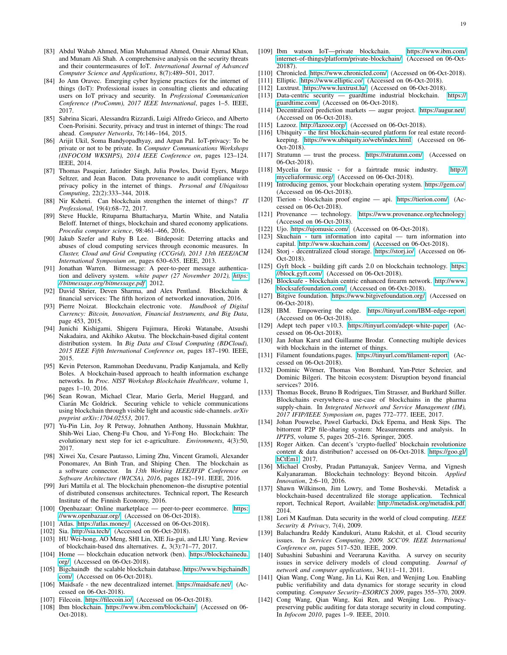- [83] Abdul Wahab Ahmed, Mian Muhammad Ahmed, Omair Ahmad Khan, and Munam Ali Shah. A comprehensive analysis on the security threats and their countermeasures of IoT. *International Journal of Advanced Computer Science and Applications*, 8(7):489–501, 2017.
- [84] Jo Ann Oravec. Emerging cyber hygiene practices for the internet of things (IoT): Professional issues in consulting clients and educating users on IoT privacy and security. In *Professional Communication Conference (ProComm), 2017 IEEE International*, pages 1–5. IEEE, 2017.
- <span id="page-18-0"></span>[85] Sabrina Sicari, Alessandra Rizzardi, Luigi Alfredo Grieco, and Alberto Coen-Porisini. Security, privacy and trust in internet of things: The road ahead. *Computer Networks*, 76:146–164, 2015.
- <span id="page-18-1"></span>[86] Arijit Ukil, Soma Bandyopadhyay, and Arpan Pal. IoT-privacy: To be private or not to be private. In *Computer Communications Workshops (INFOCOM WKSHPS), 2014 IEEE Conference on*, pages 123–124. IEEE, 2014.
- <span id="page-18-2"></span>[87] Thomas Pasquier, Jatinder Singh, Julia Powles, David Eyers, Margo Seltzer, and Jean Bacon. Data provenance to audit compliance with privacy policy in the internet of things. *Personal and Ubiquitous Computing*, 22(2):333–344, 2018.
- <span id="page-18-3"></span>[88] Nir Kshetri. Can blockchain strengthen the internet of things? *IT Professional*, 19(4):68–72, 2017.
- <span id="page-18-4"></span>[89] Steve Huckle, Rituparna Bhattacharya, Martin White, and Natalia Beloff. Internet of things, blockchain and shared economy applications. *Procedia computer science*, 98:461–466, 2016.
- <span id="page-18-10"></span>[90] Jakub Szefer and Ruby B Lee. Bitdeposit: Deterring attacks and abuses of cloud computing services through economic measures. In *Cluster, Cloud and Grid Computing (CCGrid), 2013 13th IEEE/ACM International Symposium on*, pages 630–635. IEEE, 2013.
- <span id="page-18-11"></span>[91] Jonathan Warren. Bitmessage: A peer-to-peer message authentication and delivery system. *white paper (27 November 2012), [https:](https://bitmessage.org/bitmessage.pdf) [// bitmessage.org/ bitmessage.pdf](https://bitmessage.org/bitmessage.pdf)* , 2012.
- <span id="page-18-12"></span>[92] David Shrier, Deven Sharma, and Alex Pentland. Blockchain & financial services: The fifth horizon of networked innovation, 2016.
- <span id="page-18-13"></span>[93] Pierre Noizat. Blockchain electronic vote. *Handbook of Digital Currency: Bitcoin, Innovation, Financial Instruments, and Big Data*, page 453, 2015.
- <span id="page-18-14"></span>[94] Junichi Kishigami, Shigeru Fujimura, Hiroki Watanabe, Atsushi Nakadaira, and Akihiko Akutsu. The blockchain-based digital content distribution system. In *Big Data and Cloud Computing (BDCloud), 2015 IEEE Fifth International Conference on*, pages 187–190. IEEE, 2015.
- <span id="page-18-15"></span>[95] Kevin Peterson, Rammohan Deeduvanu, Pradip Kanjamala, and Kelly Boles. A blockchain-based approach to health information exchange networks. In *Proc. NIST Workshop Blockchain Healthcare*, volume 1, pages 1–10, 2016.
- <span id="page-18-16"></span>[96] Sean Rowan, Michael Clear, Mario Gerla, Meriel Huggard, and Ciarán Mc Goldrick. Securing vehicle to vehicle communications using blockchain through visible light and acoustic side-channels. *arXiv preprint arXiv:1704.02553*, 2017.
- <span id="page-18-17"></span>[97] Yu-Pin Lin, Joy R Petway, Johnathen Anthony, Hussnain Mukhtar, Shih-Wei Liao, Cheng-Fu Chou, and Yi-Fong Ho. Blockchain: The evolutionary next step for ict e-agriculture. *Environments*, 4(3):50, 2017.
- <span id="page-18-18"></span>[98] Xiwei Xu, Cesare Pautasso, Liming Zhu, Vincent Gramoli, Alexander Ponomarev, An Binh Tran, and Shiping Chen. The blockchain as a software connector. In *13th Working IEEE/IFIP Conference on Software Architecture (WICSA), 2016*, pages 182–191. IEEE, 2016.
- <span id="page-18-19"></span>[99] Juri Mattila et al. The blockchain phenomenon–the disruptive potential of distributed consensus architectures. Technical report, The Research Institute of the Finnish Economy, 2016.
- <span id="page-18-20"></span>[100] Openbazaar: Online marketplace — peer-to-peer ecommerce. [https:](https://www.openbazaar.org/) [//www.openbazaar.org/.](https://www.openbazaar.org/) (Accessed on 06-Oct-2018).
- <span id="page-18-21"></span>[101] Atlas. [https://atlas.money/.](https://atlas.money/) (Accessed on 06-Oct-2018).
- <span id="page-18-22"></span>[102] Sia. [http://sia.tech/.](http://sia.tech/) (Accessed on 06-Oct-2018).
- <span id="page-18-23"></span>[103] HU Wei-hong, AO Meng, SHI Lin, XIE Jia-gui, and LIU Yang. Review of blockchain-based dns alternatives. *Ł*, 3(3):71–77, 2017.
- <span id="page-18-24"></span>[104] Home — blockchain education network (ben). [https://blockchainedu.](https://blockchainedu.org/) [org/.](https://blockchainedu.org/) (Accessed on 06-Oct-2018).
- <span id="page-18-25"></span>[105] Bigchaindb the scalable blockchain database. [https://www.bigchaindb.](https://www.bigchaindb.com/) [com/.](https://www.bigchaindb.com/) (Accessed on 06-Oct-2018).
- <span id="page-18-26"></span>[106] Maidsafe - the new decentralized internet. [https://maidsafe.net/.](https://maidsafe.net/) (Accessed on 06-Oct-2018).
- <span id="page-18-27"></span>[107] Filecoin. [https://filecoin.io/.](https://filecoin.io/) (Accessed on 06-Oct-2018).
- <span id="page-18-28"></span>[108] Ibm blockchain. [https://www.ibm.com/blockchain/.](https://www.ibm.com/blockchain/) (Accessed on 06-Oct-2018).
- <span id="page-18-29"></span>[109] Ibm watson IoT—private blockchain. [https://www.ibm.com/](https://www.ibm.com/internet-of-things/platform/private-blockchain/) [internet-of-things/platform/private-blockchain/.](https://www.ibm.com/internet-of-things/platform/private-blockchain/) (Accessed on 06-Oct-20187).
- <span id="page-18-30"></span>[110] Chronicled. [https://www.chronicled.com/.](https://www.chronicled.com/) (Accessed on 06-Oct-2018).
- <span id="page-18-31"></span>[111] Elliptic. [https://www.elliptic.co/.](https://www.elliptic.co/) (Accessed on 06-Oct-2018).
- <span id="page-18-32"></span>[112] Luxtrust. [https://www.luxtrust.lu/.](https://www.luxtrust.lu/) (Accessed on 06-Oct-2018).
- <span id="page-18-33"></span>[113] Data-centric security — guardtime industrial blockchain. [https://](https://guardtime.com/) [guardtime.com/.](https://guardtime.com/) (Accessed on 06-Oct-2018).
- <span id="page-18-34"></span>[114] Decentralized prediction markets — augur project. [https://augur.net/.](https://augur.net/) (Accessed on 06-Oct-2018).
- <span id="page-18-35"></span>[115] Lazooz. [http://lazooz.org/.](http://lazooz.org/) (Accessed on 06-Oct-2018).
- <span id="page-18-36"></span>[116] Ubitquity - the first blockchain-secured platform for real estate recordkeeping. [https://www.ubitquity.io/web/index.html.](https://www.ubitquity.io/web/index.html) (Accessed on 06- Oct-2018).
- <span id="page-18-37"></span>[117] Stratumn — trust the process. [https://stratumn.com/.](https://stratumn.com/) (Accessed on 06-Oct-2018).
- <span id="page-18-38"></span>[118] Mycelia for music - for a fairtrade music industry. [http://](http://myceliaformusic.org/) [myceliaformusic.org/.](http://myceliaformusic.org/) (Accessed on 06-Oct-2018).
- <span id="page-18-39"></span>[119] Introducing gemos, your blockchain operating system. [https://gem.co/.](https://gem.co/) (Accessed on 06-Oct-2018).
- <span id="page-18-40"></span>[120] Tierion - blockchain proof engine — api. [https://tierion.com/.](https://tierion.com/) (Accessed on 06-Oct-2018).
- <span id="page-18-41"></span>[121] Provenance — technology. [https://www.provenance.org/technology.](https://www.provenance.org/technology) (Accessed on 06-Oct-2018).
- <span id="page-18-42"></span>[122] Ujo. [https://ujomusic.com/.](https://ujomusic.com/) (Accessed on 06-Oct-2018).
- <span id="page-18-43"></span>[123] Skuchain - turn information into capital — turn information into capital. [http://www.skuchain.com/.](http://www.skuchain.com/) (Accessed on 06-Oct-2018).
- <span id="page-18-44"></span>[124] Storj - decentralized cloud storage. [https://storj.io/.](https://storj.io/) (Accessed on 06- Oct-2018).
- <span id="page-18-45"></span>[125] Gyft block - building gift cards 2.0 on blockchain technology. [https:](https://block.gyft.com/) [//block.gyft.com/.](https://block.gyft.com/) (Accessed on 06-Oct-2018).
- <span id="page-18-46"></span>[126] Blocksafe - blockchain centric enhanced firearm network. [http://www.](http://www.blocksafefoundation.com/) [blocksafefoundation.com/.](http://www.blocksafefoundation.com/) (Accessed on 06-Oct-2018).
- <span id="page-18-47"></span>[127] Bitgive foundation. [https://www.bitgivefoundation.org/.](https://www.bitgivefoundation.org/) (Accessed on 06-Oct-2018).
- <span id="page-18-5"></span>[128] IBM. Empowering the edge. [https://tinyurl.com/IBM-edge-report.](https://tinyurl.com/IBM-edge-report) (Accessed on 06-Oct-2018).
- [129] Adept tech paper v10.3. [https://tinyurl.com/adept-white-paper.](https://tinyurl.com/adept-white-paper) (Accessed on 06-Oct-2018).
- <span id="page-18-6"></span>[130] Jan Johan Karst and Guillaume Brodar. Connecting multiple devices with blockchain in the internet of things.
- <span id="page-18-7"></span>[131] Filament foundations.pages. [https://tinyurl.com/filament-report.](https://tinyurl.com/filament-report) (Accessed on 06-Oct-2018).
- <span id="page-18-8"></span>[132] Dominic Wörner, Thomas Von Bomhard, Yan-Peter Schreier, and Dominic Bilgeri. The bitcoin ecosystem: Disruption beyond financial services? 2016.
- <span id="page-18-9"></span>[133] Thomas Bocek, Bruno B Rodrigues, Tim Strasser, and Burkhard Stiller. Blockchains everywhere-a use-case of blockchains in the pharma supply-chain. In *Integrated Network and Service Management (IM), 2017 IFIP/IEEE Symposium on*, pages 772–777. IEEE, 2017.
- <span id="page-18-48"></span>[134] Johan Pouwelse, Pawel Garbacki, Dick Epema, and Henk Sips. The bittorrent P2P file-sharing system: Measurements and analysis. In *IPTPS*, volume 5, pages 205–216. Springer, 2005.
- <span id="page-18-49"></span>[135] Roger Aitken. Can decent's 'crypto-fuelled' blockchain revolutionize content & data distribution? accessed on 06-Oct-2018. [https://goo.gl/](https://goo.gl/hCtEm1) [hCtEm1,](https://goo.gl/hCtEm1) 2017.
- <span id="page-18-50"></span>[136] Michael Crosby, Pradan Pattanayak, Sanjeev Verma, and Vignesh Kalyanaraman. Blockchain technology: Beyond bitcoin. *Applied Innovation*, 2:6–10, 2016.
- <span id="page-18-51"></span>[137] Shawn Wilkinson, Jim Lowry, and Tome Boshevski. Metadisk a blockchain-based decentralized file storage application. Technical report, Technical Report, Available: [http://metadisk.org/metadisk.pdf,](http://metadisk.org/metadisk.pdf) 2014.
- <span id="page-18-52"></span>[138] Lori M Kaufman. Data security in the world of cloud computing. *IEEE Security & Privacy*, 7(4), 2009.
- [139] Balachandra Reddy Kandukuri, Atanu Rakshit, et al. Cloud security issues. In *Services Computing, 2009. SCC'09. IEEE International Conference on*, pages 517–520. IEEE, 2009.
- [140] Subashini Subashini and Veeraruna Kavitha. A survey on security issues in service delivery models of cloud computing. *Journal of network and computer applications*, 34(1):1–11, 2011.
- [141] Qian Wang, Cong Wang, Jin Li, Kui Ren, and Wenjing Lou. Enabling public verifiability and data dynamics for storage security in cloud computing. *Computer Security–ESORICS 2009*, pages 355–370, 2009.
- <span id="page-18-53"></span>[142] Cong Wang, Qian Wang, Kui Ren, and Wenjing Lou. Privacypreserving public auditing for data storage security in cloud computing. In *Infocom 2010*, pages 1–9. IEEE, 2010.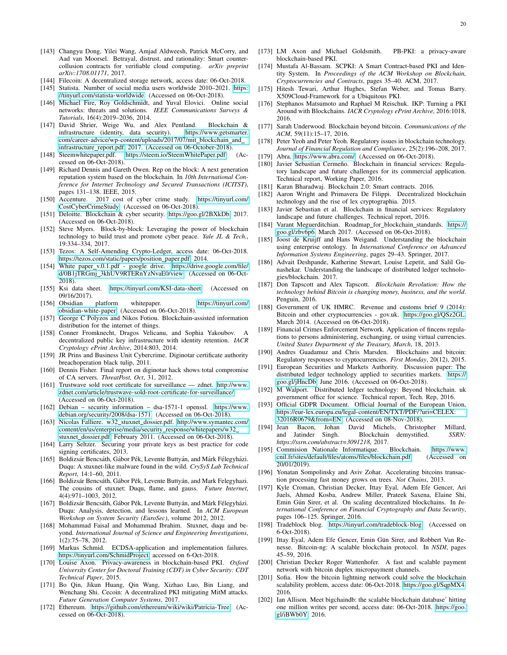- <span id="page-19-0"></span>[143] Changyu Dong, Yilei Wang, Amjad Aldweesh, Patrick McCorry, and Aad van Moorsel. Betrayal, distrust, and rationality: Smart countercollusion contracts for verifiable cloud computing. *arXiv preprint arXiv:1708.01171*, 2017.
- <span id="page-19-1"></span>[144] Filecoin: A decentralized storage network, access date: 06-Oct-2018.
- <span id="page-19-2"></span>[145] Statista. Number of social media users worldwide 2010–2021. [https:](https://tinyurl.com/statista-worldwide) [//tinyurl.com/statista-worldwide.](https://tinyurl.com/statista-worldwide) (Accessed on 06-Oct-2018).
- <span id="page-19-3"></span>[146] Michael Fire, Roy Goldschmidt, and Yuval Elovici. Online social networks: threats and solutions. *IEEE Communications Surveys & Tutorials*, 16(4):2019–2036, 2014.
- <span id="page-19-4"></span>[147] David Shrier, Weige Wu, and Alex Pentland. Blockchain & infrastructure (identity, data security). [com/career-advice/wp-content/uploads/2017/07/mit](https://www.getsmarter.com/career-advice/wp-content/uploads/2017/07/mit_blockchain_and_infrastructure_report.pdf) blockchain and [infrastructure](https://www.getsmarter.com/career-advice/wp-content/uploads/2017/07/mit_blockchain_and_infrastructure_report.pdf)\_report.pdf, 2017. (Accessed on 06-October-2018).
- <span id="page-19-5"></span>[148] Steemwhitepaper.pdf. [https://steem.io/SteemWhitePaper.pdf.](https://steem.io/SteemWhitePaper.pdf) (Accessed on 06-Oct-2018).
- <span id="page-19-6"></span>[149] Richard Dennis and Gareth Owen. Rep on the block: A next generation reputation system based on the blockchain. In *10th International Conference for Internet Technology and Secured Transactions (ICITST)*, pages 131–138. IEEE, 2015.
- <span id="page-19-7"></span>[150] Accenture. 2017 cost of cyber crime study. [https://tinyurl.com/](https://tinyurl.com/CostCyberCrimeStudy) [CostCyberCrimeStudy.](https://tinyurl.com/CostCyberCrimeStudy) (Accessed on 06-Oct-2018).
- <span id="page-19-8"></span>[151] Deloitte. Blockchain & cyber security. [https://goo.gl/2BXkDb,](https://goo.gl/2BXkDb) 2017. (Accessed on 06-Oct-2018).
- <span id="page-19-9"></span>[152] Steve Myers. Block-by-block: Leveraging the power of blockchain technology to build trust and promote cyber peace. *Yale JL & Tech.*, 19:334–334, 2017.
- <span id="page-19-10"></span>[153] Tezos: A Self-Amending Crypto-Ledger, access date: 06-Oct-2018. [https://tezos.com/static/papers/position](https://tezos.com/static/papers/position_paper.pdf) paper.pdf, 2014.
- <span id="page-19-11"></span>[154] White paper\_v.0.1.pdf - google drive. [https://drive.google.com/file/](https://drive.google.com/file/d/0B1jTRGmj_3khUV9RTERnYzNvaE0/view) d/0B1jTRGmj [3khUV9RTERnYzNvaE0/view.](https://drive.google.com/file/d/0B1jTRGmj_3khUV9RTERnYzNvaE0/view) (Accessed on 06-Oct-2018).
- <span id="page-19-12"></span>[155] Ksi data sheet. [https://tinyurl.com/KSI-data-sheet.](https://tinyurl.com/KSI-data-sheet) (Accessed on 09/16/2017).<br>[156] Obsidian
- <span id="page-19-13"></span>platform whitepaper. [https://tinyurl.com/](https://tinyurl.com/obsidian-white-paper) [obsidian-white-paper.](https://tinyurl.com/obsidian-white-paper) (Accessed on 06-Oct-2018).
- <span id="page-19-14"></span>[157] George C Polyzos and Nikos Fotiou. Blockchain-assisted information distribution for the internet of things.
- <span id="page-19-15"></span>[158] Conner Fromknecht, Dragos Velicanu, and Sophia Yakoubov. A decentralized public key infrastructure with identity retention. *IACR Cryptology ePrint Archive*, 2014:803, 2014.
- <span id="page-19-16"></span>[159] JR Prins and Business Unit Cybercrime. Diginotar certificate authority breachoperation black tulip, 2011.
- <span id="page-19-17"></span>[160] Dennis Fisher. Final report on diginotar hack shows total compromise of CA servers. *ThreatPost, Oct*, 31, 2012.
- <span id="page-19-18"></span>[161] Trustwave sold root certificate for surveillance — zdnet. [http://www.](http://www.zdnet.com/article/trustwave-sold-root-certificate-for-surveillance/) [zdnet.com/article/trustwave-sold-root-certificate-for-surveillance/.](http://www.zdnet.com/article/trustwave-sold-root-certificate-for-surveillance/) (Accessed on 06-Oct-2018).
- <span id="page-19-19"></span>[162] Debian – security information – dsa-1571-1 openssl. [https://www.](https://www.debian.org/security/2008/dsa-1571) [debian.org/security/2008/dsa-1571.](https://www.debian.org/security/2008/dsa-1571) (Accessed on 06-Oct-2018).
- <span id="page-19-20"></span>[163] Nicolas Falliere. w32\_stuxnet\_dossier.pdf. [http://www.symantec.com/](http://www.symantec.com/content/en/us/enterprise/media/security_response/whitepapers/w32_stuxnet_dossier.pdf) [content/en/us/enterprise/media/security](http://www.symantec.com/content/en/us/enterprise/media/security_response/whitepapers/w32_stuxnet_dossier.pdf)\_response/whitepapers/w32\_ stuxnet\_[dossier.pdf,](http://www.symantec.com/content/en/us/enterprise/media/security_response/whitepapers/w32_stuxnet_dossier.pdf) February 2011. (Accessed on 06-Oct-2018).
- <span id="page-19-21"></span>[164] Larry Seltzer. Securing your private keys as best practice for code signing certificates, 2013.
- <span id="page-19-22"></span>[165] Boldizsár Bencsáth, Gábor Pék, Levente Buttyán, and Márk Félegyházi. Duqu: A stuxnet-like malware found in the wild. *CrySyS Lab Technical Report*, 14:1–60, 2011.
- [166] Boldizsár Bencsáth, Gábor Pék, Levente Buttyán, and Mark Felegyhazi. The cousins of stuxnet: Duqu, flame, and gauss. *Future Internet*, 4(4):971–1003, 2012.
- [167] Boldizsár Bencsáth, Gábor Pék, Levente Buttyán, and Márk Félegyházi. Duqu: Analysis, detection, and lessons learned. In *ACM European Workshop on System Security (EuroSec)*, volume 2012, 2012.
- <span id="page-19-23"></span>[168] Mohammad Faisal and Mohammad Ibrahim. Stuxnet, duqu and beyond. *International Journal of Science and Engineering Investigations*, 1(2):75–78, 2012.
- <span id="page-19-24"></span>[169] Markus Schmid. ECDSA-application and implementation failures. [https://tinyurl.com/SchmidProject,](https://tinyurl.com/SchmidProject) accessed on 6-Oct-2018.
- <span id="page-19-25"></span>[170] Louise Axon. Privacy-awareness in blockchain-based PKI. *Oxford University Center for Doctoral Training (CDT) in Cyber Security: CDT Technical Paper*, 2015.
- <span id="page-19-26"></span>[171] Bo Qin, Jikun Huang, Qin Wang, Xizhao Luo, Bin Liang, and Wenchang Shi. Cecoin: A decentralized PKI mitigating MitM attacks. *Future Generation Computer Systems*, 2017.
- <span id="page-19-27"></span>[172] Ethereum. [https://github.com/ethereum/wiki/wiki/Patricia-Tree.](https://github.com/ethereum/wiki/wiki/Patricia-Tree) (Accessed on 06-Oct-2018).
- <span id="page-19-28"></span>[173] LM Axon and Michael Goldsmith. PB-PKI: a privacy-aware blockchain-based PKI.
- [174] Mustafa Al-Bassam. SCPKI: A Smart Contract-based PKI and Identity System. In *Proceedings of the ACM Workshop on Blockchain, Cryptocurrencies and Contracts*, pages 35–40. ACM, 2017.
- [175] Hitesh Tewari, Arthur Hughes, Stefan Weber, and Tomas Barry. X509Cloud-Framework for a Ubiquitous PKI.
- <span id="page-19-29"></span>[176] Stephanos Matsumoto and Raphael M Reischuk. IKP: Turning a PKI Around with Blockchains. *IACR Cryptology ePrint Archive*, 2016:1018, 2016.
- <span id="page-19-30"></span>[177] Sarah Underwood. Blockchain beyond bitcoin. *Communications of the ACM*, 59(11):15–17, 2016.
- <span id="page-19-31"></span>[178] Peter Yeoh and Peter Yeoh. Regulatory issues in blockchain technology. *Journal of Financial Regulation and Compliance*, 25(2):196–208, 2017.
- <span id="page-19-32"></span>[179] Abra. [https://www.abra.com/.](https://www.abra.com/) (Accessed on 06-Oct-2018).
- <span id="page-19-33"></span>[180] Javier Sebastian Cermeño. Blockchain in financial services: Regulatory landscape and future challenges for its commercial application. Technical report, Working Paper, 2016.
- <span id="page-19-34"></span>[181] Karan Bharadwaj. Blockchain 2.0: Smart contracts. 2016.
- <span id="page-19-35"></span>[182] Aaron Wright and Primavera De Filippi. Decentralized blockchain technology and the rise of lex cryptographia. 2015.
- <span id="page-19-36"></span>[183] Javier Sebastian et al. Blockchain in financial services: Regulatory landscape and future challenges. Technical report, 2016.
- <span id="page-19-37"></span>[184] Varant Meguerditchian. Roadmap\_for\_blockchain\_standards. [https://](https://goo.gl/zbv6p6) [goo.gl/zbv6p6,](https://goo.gl/zbv6p6) March 2017. (Accessed on 06-Oct-2018).
- <span id="page-19-38"></span>[185] Joost de Kruijff and Hans Weigand. Understanding the blockchain using enterprise ontology. In *International Conference on Advanced Information Systems Engineering*, pages 29–43. Springer, 2017.
- <span id="page-19-39"></span>[186] Advait Deshpande, Katherine Stewart, Louise Lepetit, and Salil Gunashekar. Understanding the landscape of distributed ledger technologies/blockchain. 2017.
- <span id="page-19-40"></span>[187] Don Tapscott and Alex Tapscott. *Blockchain Revolution: How the technology behind Bitcoin is changing money, business, and the world*. Penguin, 2016.
- <span id="page-19-41"></span>[188] Government of UK HMRC. Revenue and customs brief 9 (2014): Bitcoin and other cryptocurrencies - gov.uk. [https://goo.gl/QSz2GL,](https://goo.gl/QSz2GL) March 2014. (Accessed on 06-Oct-2018).
- <span id="page-19-42"></span>[189] Financial Crimes Enforcement Network. Application of fincens regulations to persons administering, exchanging, or using virtual currencies. *United States Department of the Treasury, March*, 18, 2013.
- <span id="page-19-43"></span>[190] Andres Guadamuz and Chris Marsden. Blockchains and bitcoin: Regulatory responses to cryptocurrencies. *First Monday*, 20(12), 2015.
- <span id="page-19-44"></span>[191] European Securities and Markets Authority. Discussion paper: The distributed ledger technology applied to securities markets. [https://](https://goo.gl/jHncDb) [goo.gl/jHncDb,](https://goo.gl/jHncDb) June 2016. (Accessed on 06-Oct-2018).
- <span id="page-19-45"></span>[192] M Walport. Distributed ledger technology: Beyond blockchain. uk government office for science. Technical report, Tech. Rep, 2016.
- <span id="page-19-46"></span>[193] Official GDPR Document. Official Journal of the European Union, [https://eur-lex.europa.eu/legal-content/EN/TXT/PDF/?uri=CELEX:](https://eur-lex.europa.eu/legal-content/EN/TXT/PDF/?uri=CELEX:32016R0679&from=EN) [32016R0679&from=EN.](https://eur-lex.europa.eu/legal-content/EN/TXT/PDF/?uri=CELEX:32016R0679&from=EN) (Accessed on 08-Nov-2018).
- <span id="page-19-47"></span>[194] Jean Bacon, Johan David Michels, Christopher Millard, and Jatinder Singh. Blockchain demystified. *SSRN: https://ssrn.com/abstract=3091218*, 2017.
- <span id="page-19-48"></span>[195] Commision Nationale Informatique. Blockchain. [https://www.](https://www.cnil.fr/sites/default/files/atoms/files/blockchain.pdf) [cnil.fr/sites/default/files/atoms/files/blockchain.pdf.](https://www.cnil.fr/sites/default/files/atoms/files/blockchain.pdf) (Accessed on 20/01/2019).
- <span id="page-19-49"></span>[196] Yonatan Sompolinsky and Aviv Zohar. Accelerating bitcoins transaction processing fast money grows on trees. *Not Chains*, 2013.
- <span id="page-19-50"></span>[197] Kyle Croman, Christian Decker, Ittay Eyal, Adem Efe Gencer, Ari Juels, Ahmed Kosba, Andrew Miller, Prateek Saxena, Elaine Shi, Emin Gün Sirer, et al. On scaling decentralized blockchains. In *International Conference on Financial Cryptography and Data Security*, pages 106–125. Springer, 2016.
- <span id="page-19-51"></span>[198] Tradeblock blog. [https://tinyurl.com/tradeblock-blog.](https://tinyurl.com/tradeblock-blog) (Accessed on 6-Oct-2018).
- <span id="page-19-52"></span>[199] Ittay Eyal, Adem Efe Gencer, Emin Gün Sirer, and Robbert Van Renesse. Bitcoin-ng: A scalable blockchain protocol. In *NSDI*, pages 45–59, 2016.
- <span id="page-19-53"></span>[200] Christian Decker Roger Wattenhofer. A fast and scalable payment network with bitcoin duplex micropayment channels.
- <span id="page-19-54"></span>[201] Sofia. How the bitcoin lightning network could solve the blockchain scalability problem, access date: 06-Oct-2018. [https://goo.gl/SqpMX4,](https://goo.gl/SqpMX4) 2016.
- <span id="page-19-55"></span>[202] Ian Allison. Meet bigchaindb: the scalable blockchain database' hitting one million writes per second, access date: 06-Oct-2018. [https://goo.](https://goo.gl/iBWb0Y) [gl/iBWb0Y,](https://goo.gl/iBWb0Y) 2016.